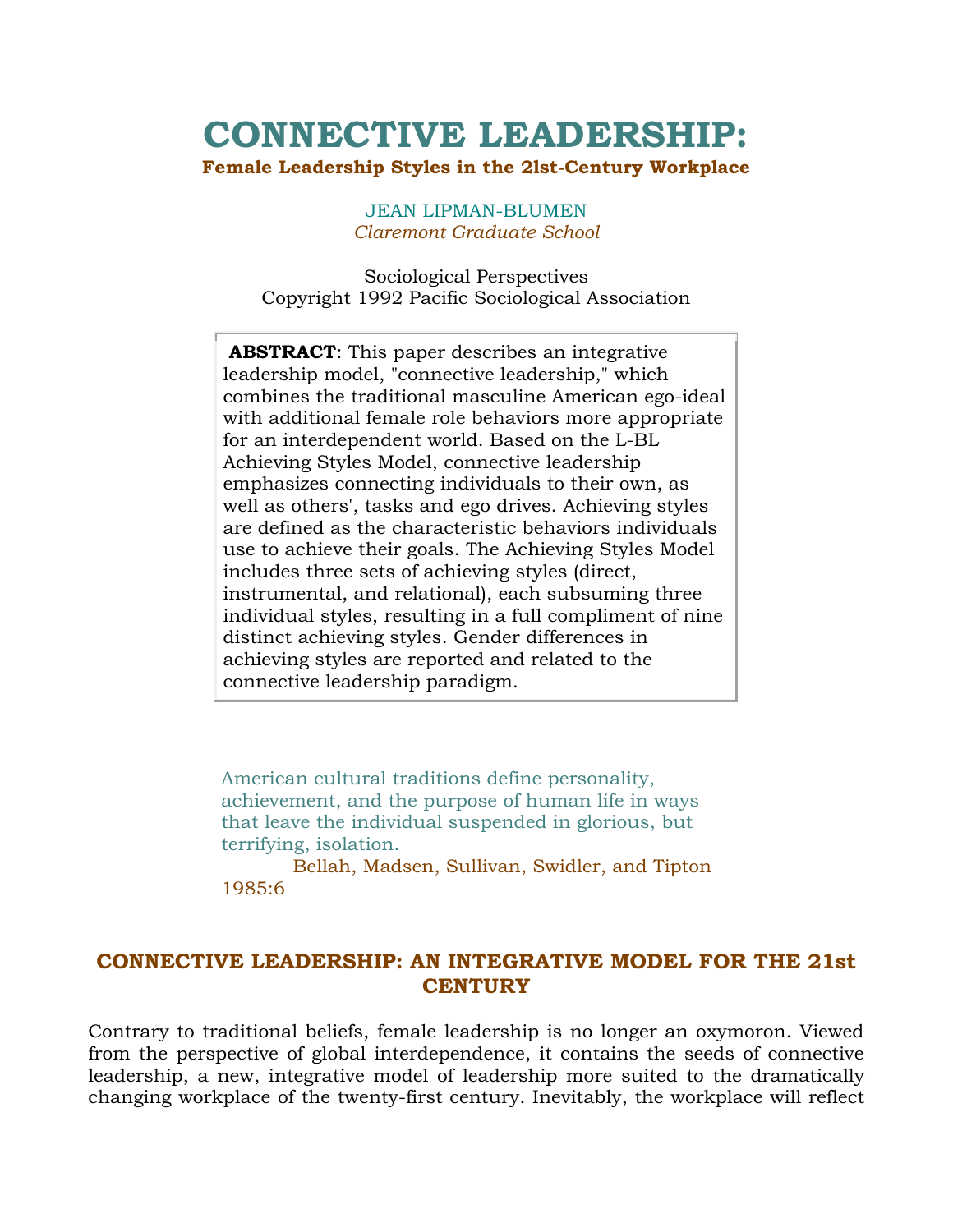# **CONNECTIVE LEADERSHIP:**

#### **Female Leadership Styles in the 2lst-Century Workplace**

JEAN LIPMAN-BLUMEN *Claremont Graduate School*

Sociological Perspectives Copyright 1992 Pacific Sociological Association

**ABSTRACT**: This paper describes an integrative leadership model, "connective leadership," which combines the traditional masculine American ego-ideal with additional female role behaviors more appropriate for an interdependent world. Based on the L-BL Achieving Styles Model, connective leadership emphasizes connecting individuals to their own, as well as others', tasks and ego drives. Achieving styles are defined as the characteristic behaviors individuals use to achieve their goals. The Achieving Styles Model includes three sets of achieving styles (direct, instrumental, and relational), each subsuming three individual styles, resulting in a full compliment of nine distinct achieving styles. Gender differences in achieving styles are reported and related to the connective leadership paradigm.

American cultural traditions define personality, achievement, and the purpose of human life in ways that leave the individual suspended in glorious, but terrifying, isolation.

 Bellah, Madsen, Sullivan, Swidler, and Tipton 1985:6

# **CONNECTIVE LEADERSHIP: AN INTEGRATIVE MODEL FOR THE 21st CENTURY**

Contrary to traditional beliefs, female leadership is no longer an oxymoron. Viewed from the perspective of global interdependence, it contains the seeds of connective leadership, a new, integrative model of leadership more suited to the dramatically changing workplace of the twenty-first century. Inevitably, the workplace will reflect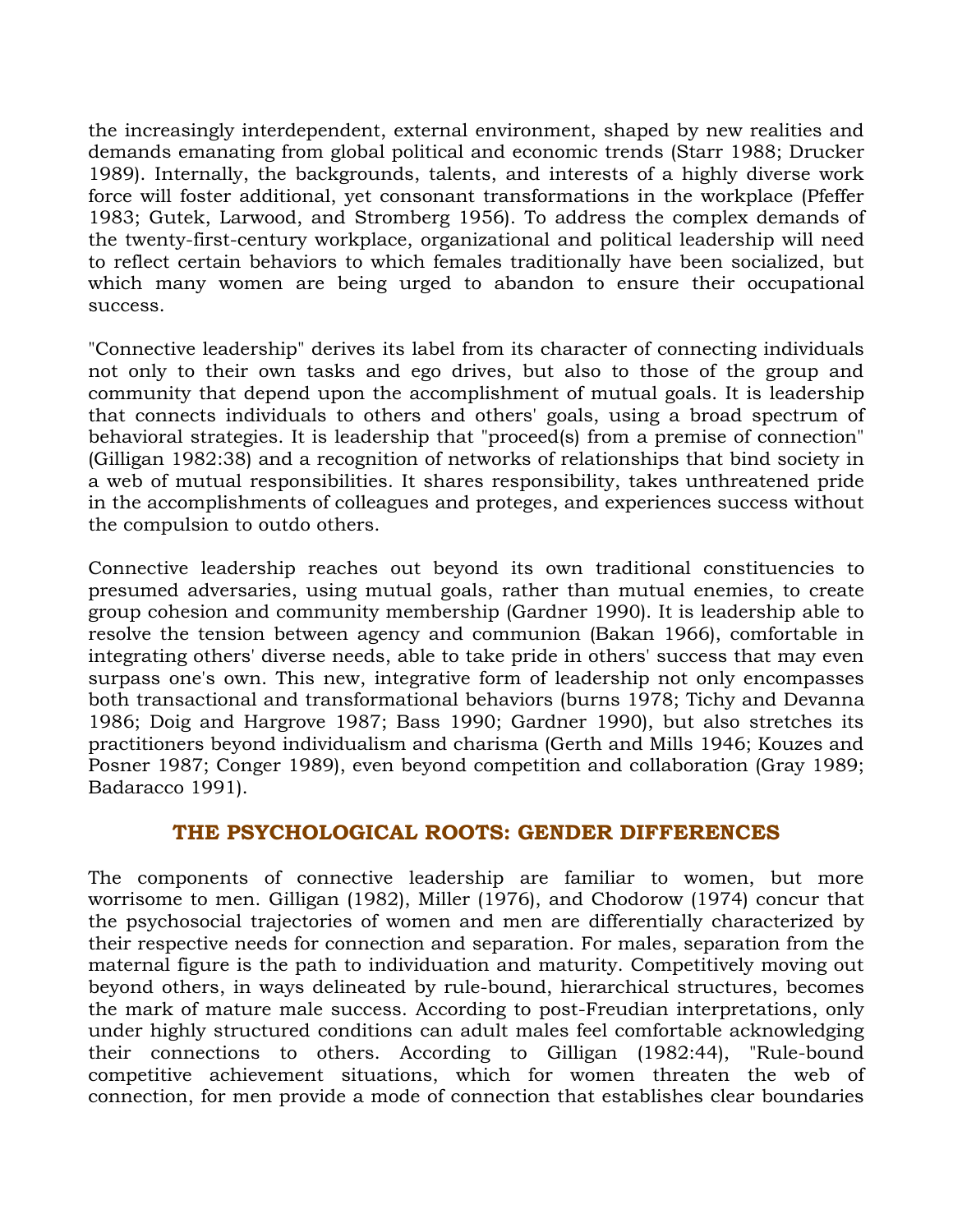the increasingly interdependent, external environment, shaped by new realities and demands emanating from global political and economic trends (Starr 1988; Drucker 1989). Internally, the backgrounds, talents, and interests of a highly diverse work force will foster additional, yet consonant transformations in the workplace (Pfeffer 1983; Gutek, Larwood, and Stromberg 1956). To address the complex demands of the twenty-first-century workplace, organizational and political leadership will need to reflect certain behaviors to which females traditionally have been socialized, but which many women are being urged to abandon to ensure their occupational success.

"Connective leadership" derives its label from its character of connecting individuals not only to their own tasks and ego drives, but also to those of the group and community that depend upon the accomplishment of mutual goals. It is leadership that connects individuals to others and others' goals, using a broad spectrum of behavioral strategies. It is leadership that "proceed(s) from a premise of connection" (Gilligan 1982:38) and a recognition of networks of relationships that bind society in a web of mutual responsibilities. It shares responsibility, takes unthreatened pride in the accomplishments of colleagues and proteges, and experiences success without the compulsion to outdo others.

Connective leadership reaches out beyond its own traditional constituencies to presumed adversaries, using mutual goals, rather than mutual enemies, to create group cohesion and community membership (Gardner 1990). It is leadership able to resolve the tension between agency and communion (Bakan 1966), comfortable in integrating others' diverse needs, able to take pride in others' success that may even surpass one's own. This new, integrative form of leadership not only encompasses both transactional and transformational behaviors (burns 1978; Tichy and Devanna 1986; Doig and Hargrove 1987; Bass 1990; Gardner 1990), but also stretches its practitioners beyond individualism and charisma (Gerth and Mills 1946; Kouzes and Posner 1987; Conger 1989), even beyond competition and collaboration (Gray 1989; Badaracco 1991).

## **THE PSYCHOLOGICAL ROOTS: GENDER DIFFERENCES**

The components of connective leadership are familiar to women, but more worrisome to men. Gilligan (1982), Miller (1976), and Chodorow (1974) concur that the psychosocial trajectories of women and men are differentially characterized by their respective needs for connection and separation. For males, separation from the maternal figure is the path to individuation and maturity. Competitively moving out beyond others, in ways delineated by rule-bound, hierarchical structures, becomes the mark of mature male success. According to post-Freudian interpretations, only under highly structured conditions can adult males feel comfortable acknowledging their connections to others. According to Gilligan (1982:44), "Rule-bound competitive achievement situations, which for women threaten the web of connection, for men provide a mode of connection that establishes clear boundaries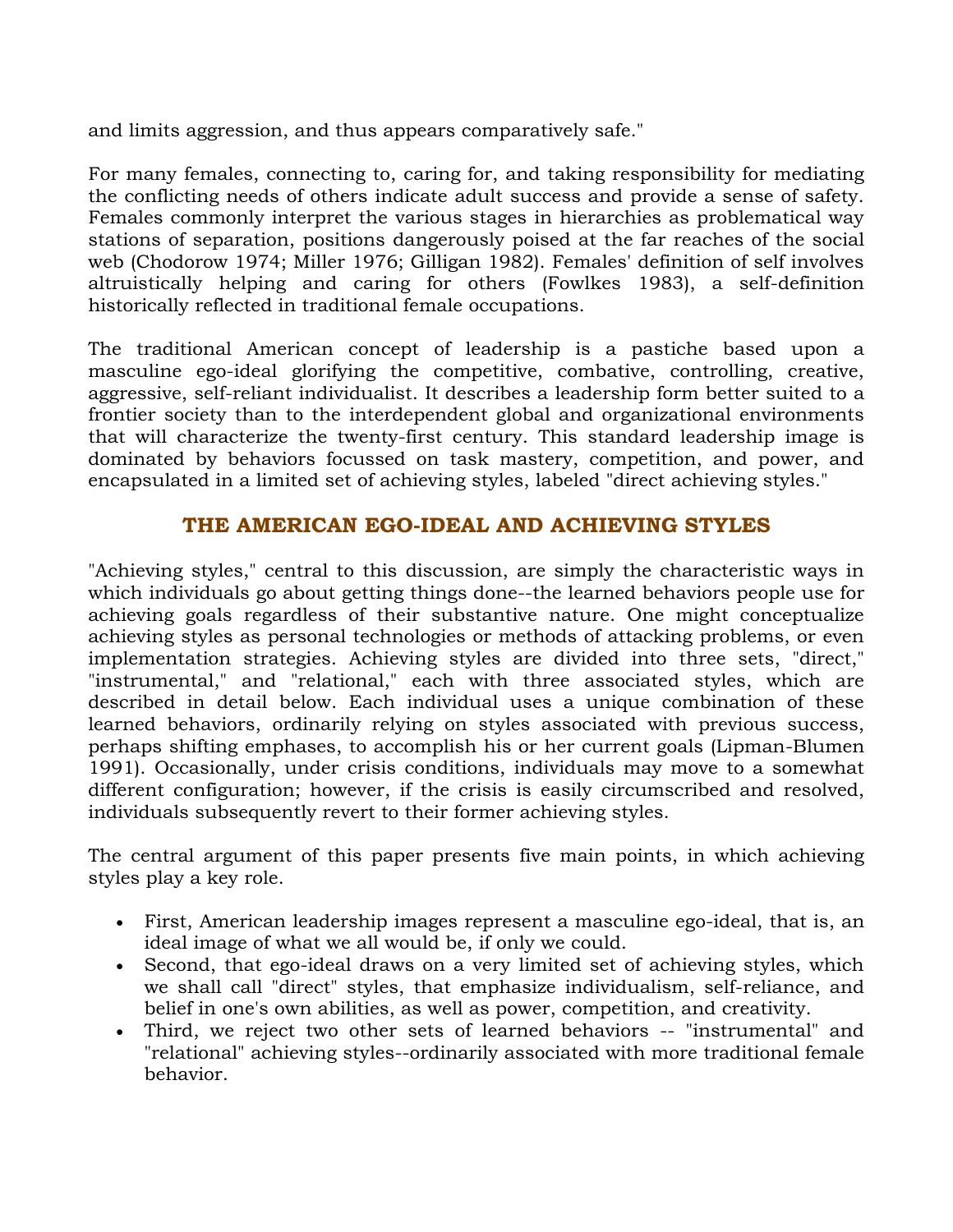and limits aggression, and thus appears comparatively safe."

For many females, connecting to, caring for, and taking responsibility for mediating the conflicting needs of others indicate adult success and provide a sense of safety. Females commonly interpret the various stages in hierarchies as problematical way stations of separation, positions dangerously poised at the far reaches of the social web (Chodorow 1974; Miller 1976; Gilligan 1982). Females' definition of self involves altruistically helping and caring for others (Fowlkes 1983), a self-definition historically reflected in traditional female occupations.

The traditional American concept of leadership is a pastiche based upon a masculine ego-ideal glorifying the competitive, combative, controlling, creative, aggressive, self-reliant individualist. It describes a leadership form better suited to a frontier society than to the interdependent global and organizational environments that will characterize the twenty-first century. This standard leadership image is dominated by behaviors focussed on task mastery, competition, and power, and encapsulated in a limited set of achieving styles, labeled "direct achieving styles."

# **THE AMERICAN EGO-IDEAL AND ACHIEVING STYLES**

"Achieving styles," central to this discussion, are simply the characteristic ways in which individuals go about getting things done--the learned behaviors people use for achieving goals regardless of their substantive nature. One might conceptualize achieving styles as personal technologies or methods of attacking problems, or even implementation strategies. Achieving styles are divided into three sets, "direct," "instrumental," and "relational," each with three associated styles, which are described in detail below. Each individual uses a unique combination of these learned behaviors, ordinarily relying on styles associated with previous success, perhaps shifting emphases, to accomplish his or her current goals (Lipman-Blumen 1991). Occasionally, under crisis conditions, individuals may move to a somewhat different configuration; however, if the crisis is easily circumscribed and resolved, individuals subsequently revert to their former achieving styles.

The central argument of this paper presents five main points, in which achieving styles play a key role.

- First, American leadership images represent a masculine ego-ideal, that is, an ideal image of what we all would be, if only we could.
- Second, that ego-ideal draws on a very limited set of achieving styles, which we shall call "direct" styles, that emphasize individualism, self-reliance, and belief in one's own abilities, as well as power, competition, and creativity.
- Third, we reject two other sets of learned behaviors -- "instrumental" and "relational" achieving styles--ordinarily associated with more traditional female behavior.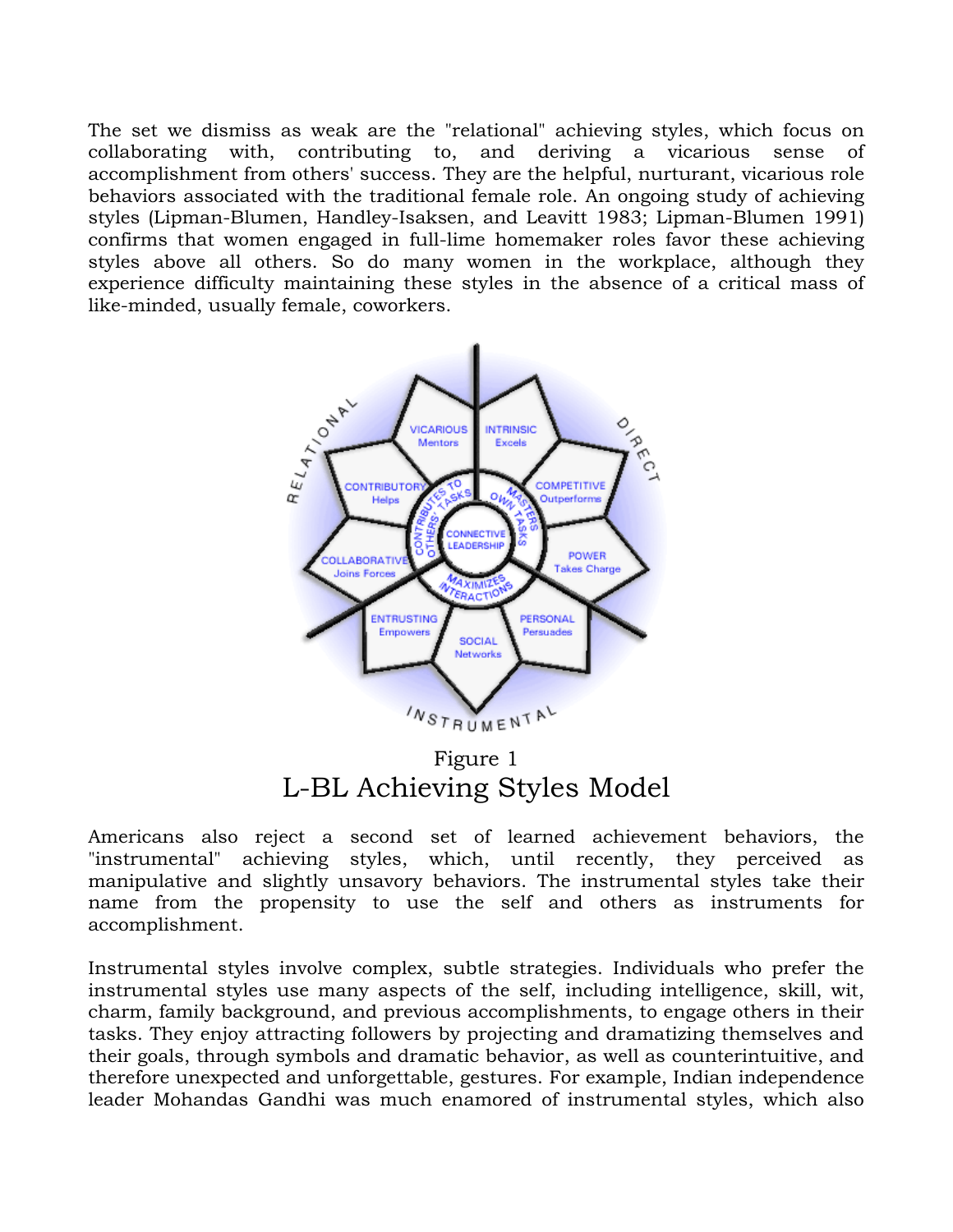The set we dismiss as weak are the "relational" achieving styles, which focus on collaborating with, contributing to, and deriving a vicarious sense of accomplishment from others' success. They are the helpful, nurturant, vicarious role behaviors associated with the traditional female role. An ongoing study of achieving styles (Lipman-Blumen, Handley-Isaksen, and Leavitt 1983; Lipman-Blumen 1991) confirms that women engaged in full-lime homemaker roles favor these achieving styles above all others. So do many women in the workplace, although they experience difficulty maintaining these styles in the absence of a critical mass of like-minded, usually female, coworkers.



Figure 1 L-BL Achieving Styles Model

Americans also reject a second set of learned achievement behaviors, the "instrumental" achieving styles, which, until recently, they perceived as manipulative and slightly unsavory behaviors. The instrumental styles take their name from the propensity to use the self and others as instruments for accomplishment.

Instrumental styles involve complex, subtle strategies. Individuals who prefer the instrumental styles use many aspects of the self, including intelligence, skill, wit, charm, family background, and previous accomplishments, to engage others in their tasks. They enjoy attracting followers by projecting and dramatizing themselves and their goals, through symbols and dramatic behavior, as well as counterintuitive, and therefore unexpected and unforgettable, gestures. For example, Indian independence leader Mohandas Gandhi was much enamored of instrumental styles, which also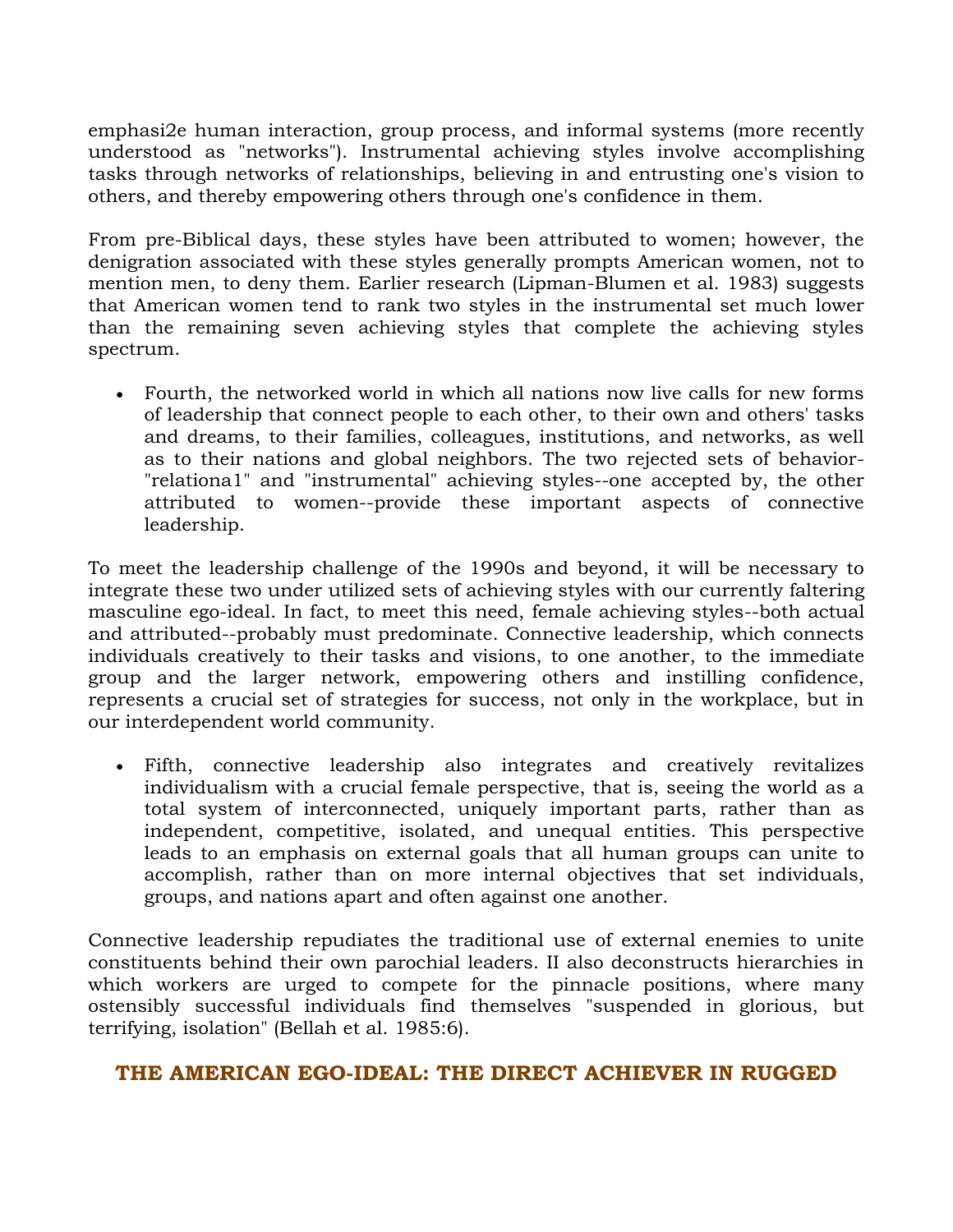emphasi2e human interaction, group process, and informal systems (more recently understood as "networks"). Instrumental achieving styles involve accomplishing tasks through networks of relationships, believing in and entrusting one's vision to others, and thereby empowering others through one's confidence in them.

From pre-Biblical days, these styles have been attributed to women; however, the denigration associated with these styles generally prompts American women, not to mention men, to deny them. Earlier research (Lipman-Blumen et al. 1983) suggests that American women tend to rank two styles in the instrumental set much lower than the remaining seven achieving styles that complete the achieving styles spectrum.

 Fourth, the networked world in which all nations now live calls for new forms of leadership that connect people to each other, to their own and others' tasks and dreams, to their families, colleagues, institutions, and networks, as well as to their nations and global neighbors. The two rejected sets of behavior- "relationa1" and "instrumental" achieving styles--one accepted by, the other attributed to women--provide these important aspects of connective leadership.

To meet the leadership challenge of the 1990s and beyond, it will be necessary to integrate these two under utilized sets of achieving styles with our currently faltering masculine ego-ideal. In fact, to meet this need, female achieving styles--both actual and attributed--probably must predominate. Connective leadership, which connects individuals creatively to their tasks and visions, to one another, to the immediate group and the larger network, empowering others and instilling confidence, represents a crucial set of strategies for success, not only in the workplace, but in our interdependent world community.

 Fifth, connective leadership also integrates and creatively revitalizes individualism with a crucial female perspective, that is, seeing the world as a total system of interconnected, uniquely important parts, rather than as independent, competitive, isolated, and unequal entities. This perspective leads to an emphasis on external goals that all human groups can unite to accomplish, rather than on more internal objectives that set individuals, groups, and nations apart and often against one another.

Connective leadership repudiates the traditional use of external enemies to unite constituents behind their own parochial leaders. II also deconstructs hierarchies in which workers are urged to compete for the pinnacle positions, where many ostensibly successful individuals find themselves "suspended in glorious, but terrifying, isolation" (Bellah et al. 1985:6).

# **THE AMERICAN EGO-IDEAL: THE DIRECT ACHIEVER IN RUGGED**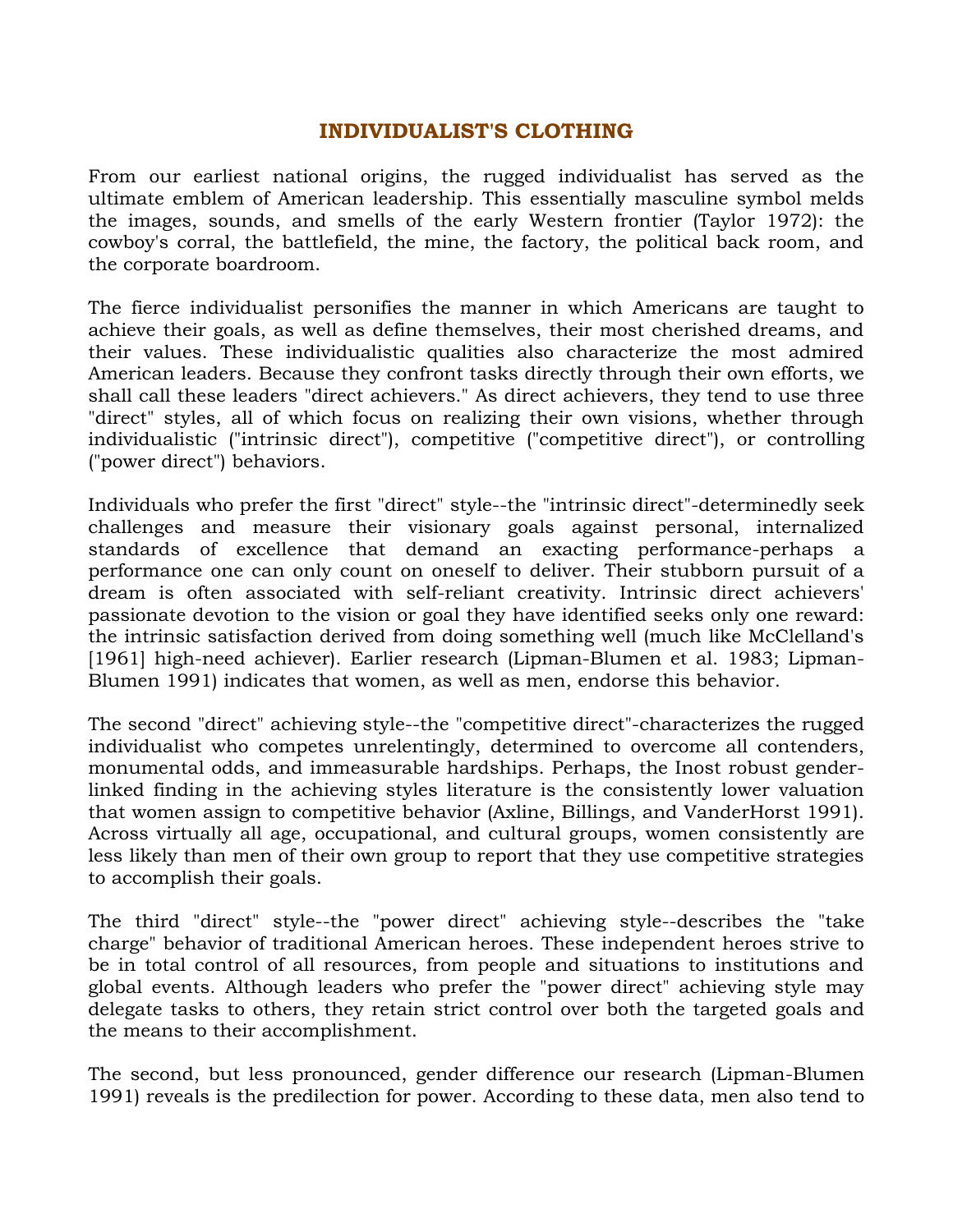## **INDIVIDUALIST'S CLOTHING**

From our earliest national origins, the rugged individualist has served as the ultimate emblem of American leadership. This essentially masculine symbol melds the images, sounds, and smells of the early Western frontier (Taylor 1972): the cowboy's corral, the battlefield, the mine, the factory, the political back room, and the corporate boardroom.

The fierce individualist personifies the manner in which Americans are taught to achieve their goals, as well as define themselves, their most cherished dreams, and their values. These individualistic qualities also characterize the most admired American leaders. Because they confront tasks directly through their own efforts, we shall call these leaders "direct achievers." As direct achievers, they tend to use three "direct" styles, all of which focus on realizing their own visions, whether through individualistic ("intrinsic direct"), competitive ("competitive direct"), or controlling ("power direct") behaviors.

Individuals who prefer the first "direct" style--the "intrinsic direct"-determinedly seek challenges and measure their visionary goals against personal, internalized standards of excellence that demand an exacting performance-perhaps a performance one can only count on oneself to deliver. Their stubborn pursuit of a dream is often associated with self-reliant creativity. Intrinsic direct achievers' passionate devotion to the vision or goal they have identified seeks only one reward: the intrinsic satisfaction derived from doing something well (much like McClelland's [1961] high-need achiever]. Earlier research (Lipman-Blumen et al. 1983; Lipman-Blumen 1991) indicates that women, as well as men, endorse this behavior.

The second "direct" achieving style--the "competitive direct"-characterizes the rugged individualist who competes unrelentingly, determined to overcome all contenders, monumental odds, and immeasurable hardships. Perhaps, the Inost robust genderlinked finding in the achieving styles literature is the consistently lower valuation that women assign to competitive behavior (Axline, Billings, and VanderHorst 1991). Across virtually all age, occupational, and cultural groups, women consistently are less likely than men of their own group to report that they use competitive strategies to accomplish their goals.

The third "direct" style--the "power direct" achieving style--describes the "take charge" behavior of traditional American heroes. These independent heroes strive to be in total control of all resources, from people and situations to institutions and global events. Although leaders who prefer the "power direct" achieving style may delegate tasks to others, they retain strict control over both the targeted goals and the means to their accomplishment.

The second, but less pronounced, gender difference our research (Lipman-Blumen 1991) reveals is the predilection for power. According to these data, men also tend to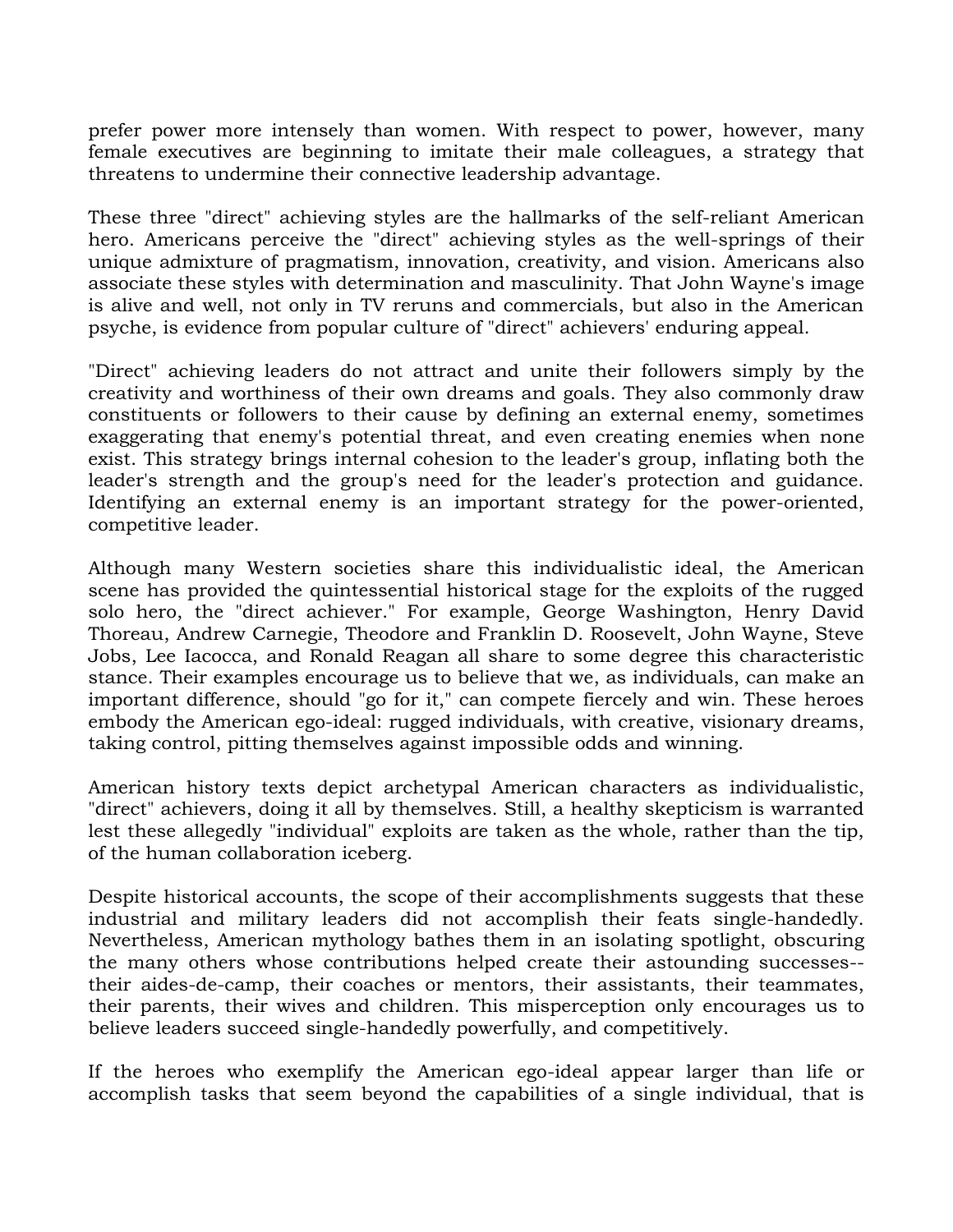prefer power more intensely than women. With respect to power, however, many female executives are beginning to imitate their male colleagues, a strategy that threatens to undermine their connective leadership advantage.

These three "direct" achieving styles are the hallmarks of the self-reliant American hero. Americans perceive the "direct" achieving styles as the well-springs of their unique admixture of pragmatism, innovation, creativity, and vision. Americans also associate these styles with determination and masculinity. That John Wayne's image is alive and well, not only in TV reruns and commercials, but also in the American psyche, is evidence from popular culture of "direct" achievers' enduring appeal.

"Direct" achieving leaders do not attract and unite their followers simply by the creativity and worthiness of their own dreams and goals. They also commonly draw constituents or followers to their cause by defining an external enemy, sometimes exaggerating that enemy's potential threat, and even creating enemies when none exist. This strategy brings internal cohesion to the leader's group, inflating both the leader's strength and the group's need for the leader's protection and guidance. Identifying an external enemy is an important strategy for the power-oriented, competitive leader.

Although many Western societies share this individualistic ideal, the American scene has provided the quintessential historical stage for the exploits of the rugged solo hero, the "direct achiever." For example, George Washington, Henry David Thoreau, Andrew Carnegie, Theodore and Franklin D. Roosevelt, John Wayne, Steve Jobs, Lee Iacocca, and Ronald Reagan all share to some degree this characteristic stance. Their examples encourage us to believe that we, as individuals, can make an important difference, should "go for it," can compete fiercely and win. These heroes embody the American ego-ideal: rugged individuals, with creative, visionary dreams, taking control, pitting themselves against impossible odds and winning.

American history texts depict archetypal American characters as individualistic, "direct" achievers, doing it all by themselves. Still, a healthy skepticism is warranted lest these allegedly "individual" exploits are taken as the whole, rather than the tip, of the human collaboration iceberg.

Despite historical accounts, the scope of their accomplishments suggests that these industrial and military leaders did not accomplish their feats single-handedly. Nevertheless, American mythology bathes them in an isolating spotlight, obscuring the many others whose contributions helped create their astounding successes- their aides-de-camp, their coaches or mentors, their assistants, their teammates, their parents, their wives and children. This misperception only encourages us to believe leaders succeed single-handedly powerfully, and competitively.

If the heroes who exemplify the American ego-ideal appear larger than life or accomplish tasks that seem beyond the capabilities of a single individual, that is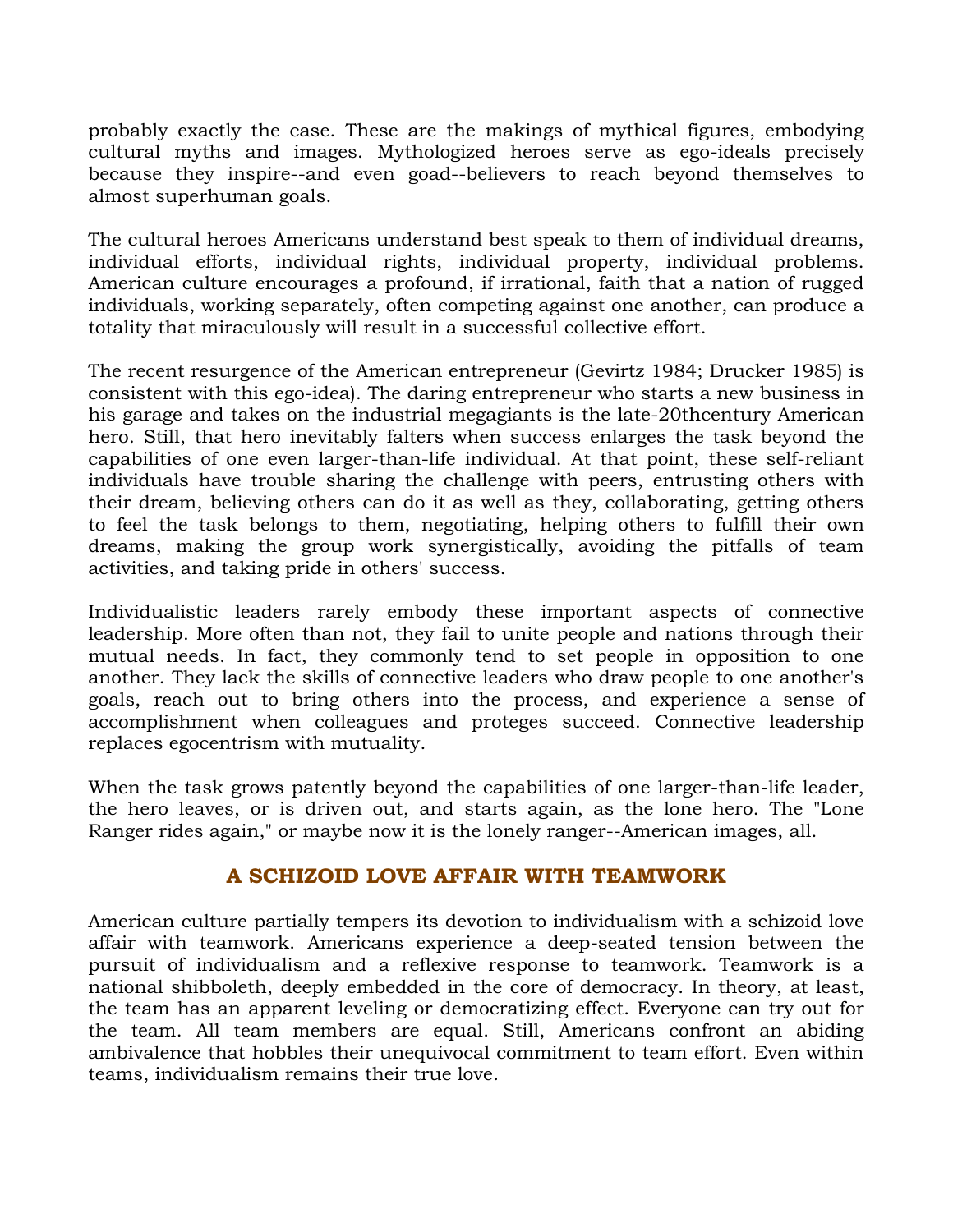probably exactly the case. These are the makings of mythical figures, embodying cultural myths and images. Mythologized heroes serve as ego-ideals precisely because they inspire--and even goad--believers to reach beyond themselves to almost superhuman goals.

The cultural heroes Americans understand best speak to them of individual dreams, individual efforts, individual rights, individual property, individual problems. American culture encourages a profound, if irrational, faith that a nation of rugged individuals, working separately, often competing against one another, can produce a totality that miraculously will result in a successful collective effort.

The recent resurgence of the American entrepreneur (Gevirtz 1984; Drucker 1985) is consistent with this ego-idea). The daring entrepreneur who starts a new business in his garage and takes on the industrial megagiants is the late-20thcentury American hero. Still, that hero inevitably falters when success enlarges the task beyond the capabilities of one even larger-than-life individual. At that point, these self-reliant individuals have trouble sharing the challenge with peers, entrusting others with their dream, believing others can do it as well as they, collaborating, getting others to feel the task belongs to them, negotiating, helping others to fulfill their own dreams, making the group work synergistically, avoiding the pitfalls of team activities, and taking pride in others' success.

Individualistic leaders rarely embody these important aspects of connective leadership. More often than not, they fail to unite people and nations through their mutual needs. In fact, they commonly tend to set people in opposition to one another. They lack the skills of connective leaders who draw people to one another's goals, reach out to bring others into the process, and experience a sense of accomplishment when colleagues and proteges succeed. Connective leadership replaces egocentrism with mutuality.

When the task grows patently beyond the capabilities of one larger-than-life leader, the hero leaves, or is driven out, and starts again, as the lone hero. The "Lone Ranger rides again," or maybe now it is the lonely ranger--American images, all.

# **A SCHIZOID LOVE AFFAIR WITH TEAMWORK**

American culture partially tempers its devotion to individualism with a schizoid love affair with teamwork. Americans experience a deep-seated tension between the pursuit of individualism and a reflexive response to teamwork. Teamwork is a national shibboleth, deeply embedded in the core of democracy. In theory, at least, the team has an apparent leveling or democratizing effect. Everyone can try out for the team. All team members are equal. Still, Americans confront an abiding ambivalence that hobbles their unequivocal commitment to team effort. Even within teams, individualism remains their true love.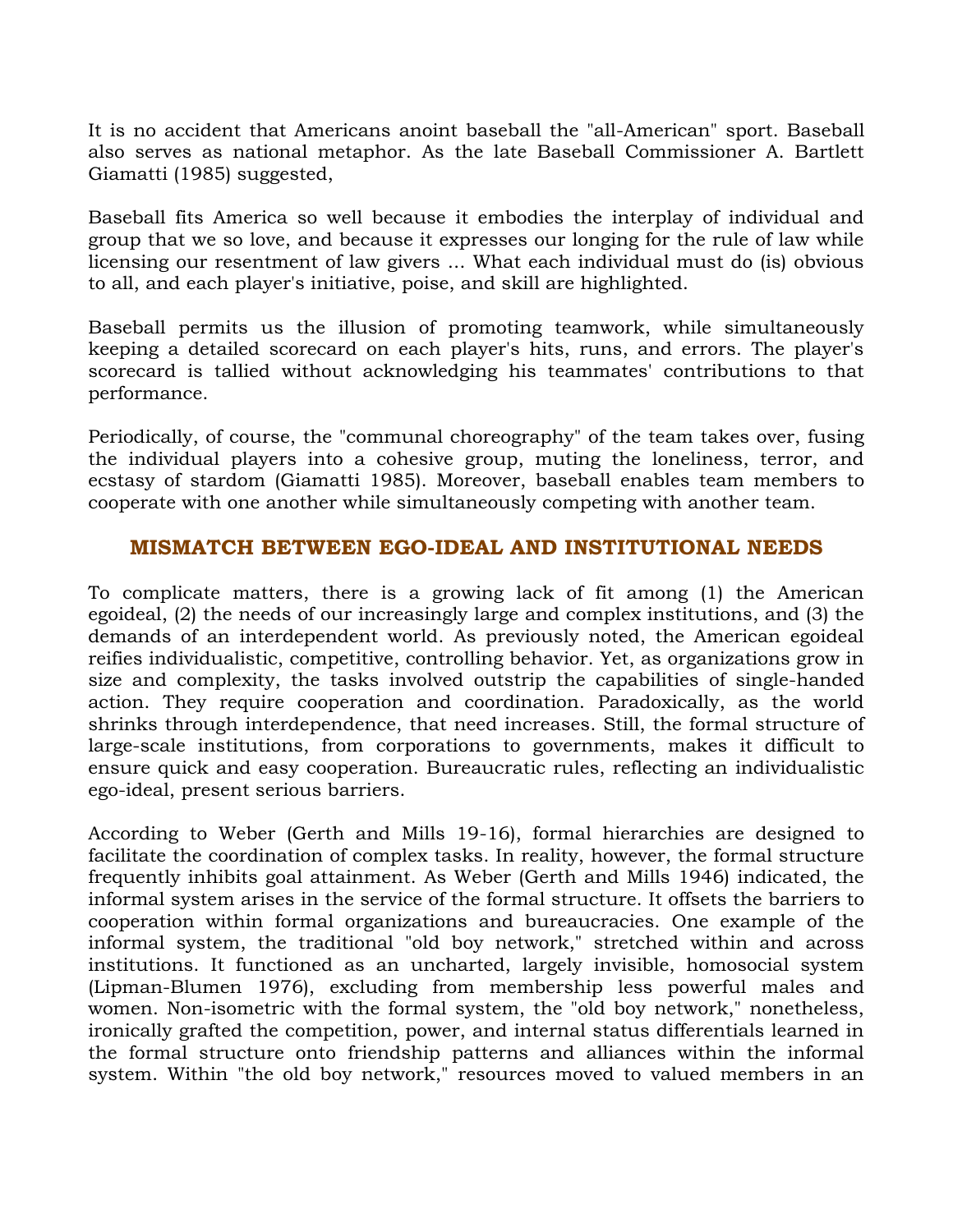It is no accident that Americans anoint baseball the "all-American" sport. Baseball also serves as national metaphor. As the late Baseball Commissioner A. Bartlett Giamatti (1985) suggested,

Baseball fits America so well because it embodies the interplay of individual and group that we so love, and because it expresses our longing for the rule of law while licensing our resentment of law givers ... What each individual must do (is) obvious to all, and each player's initiative, poise, and skill are highlighted.

Baseball permits us the illusion of promoting teamwork, while simultaneously keeping a detailed scorecard on each player's hits, runs, and errors. The player's scorecard is tallied without acknowledging his teammates' contributions to that performance.

Periodically, of course, the "communal choreography" of the team takes over, fusing the individual players into a cohesive group, muting the loneliness, terror, and ecstasy of stardom (Giamatti 1985). Moreover, baseball enables team members to cooperate with one another while simultaneously competing with another team.

#### **MISMATCH BETWEEN EGO-IDEAL AND INSTITUTIONAL NEEDS**

To complicate matters, there is a growing lack of fit among (1) the American egoideal, (2) the needs of our increasingly large and complex institutions, and (3) the demands of an interdependent world. As previously noted, the American egoideal reifies individualistic, competitive, controlling behavior. Yet, as organizations grow in size and complexity, the tasks involved outstrip the capabilities of single-handed action. They require cooperation and coordination. Paradoxically, as the world shrinks through interdependence, that need increases. Still, the formal structure of large-scale institutions, from corporations to governments, makes it difficult to ensure quick and easy cooperation. Bureaucratic rules, reflecting an individualistic ego-ideal, present serious barriers.

According to Weber (Gerth and Mills 19-16), formal hierarchies are designed to facilitate the coordination of complex tasks. In reality, however, the formal structure frequently inhibits goal attainment. As Weber (Gerth and Mills 1946) indicated, the informal system arises in the service of the formal structure. It offsets the barriers to cooperation within formal organizations and bureaucracies. One example of the informal system, the traditional "old boy network," stretched within and across institutions. It functioned as an uncharted, largely invisible, homosocial system (Lipman-Blumen 1976), excluding from membership less powerful males and women. Non-isometric with the formal system, the "old boy network," nonetheless, ironically grafted the competition, power, and internal status differentials learned in the formal structure onto friendship patterns and alliances within the informal system. Within "the old boy network," resources moved to valued members in an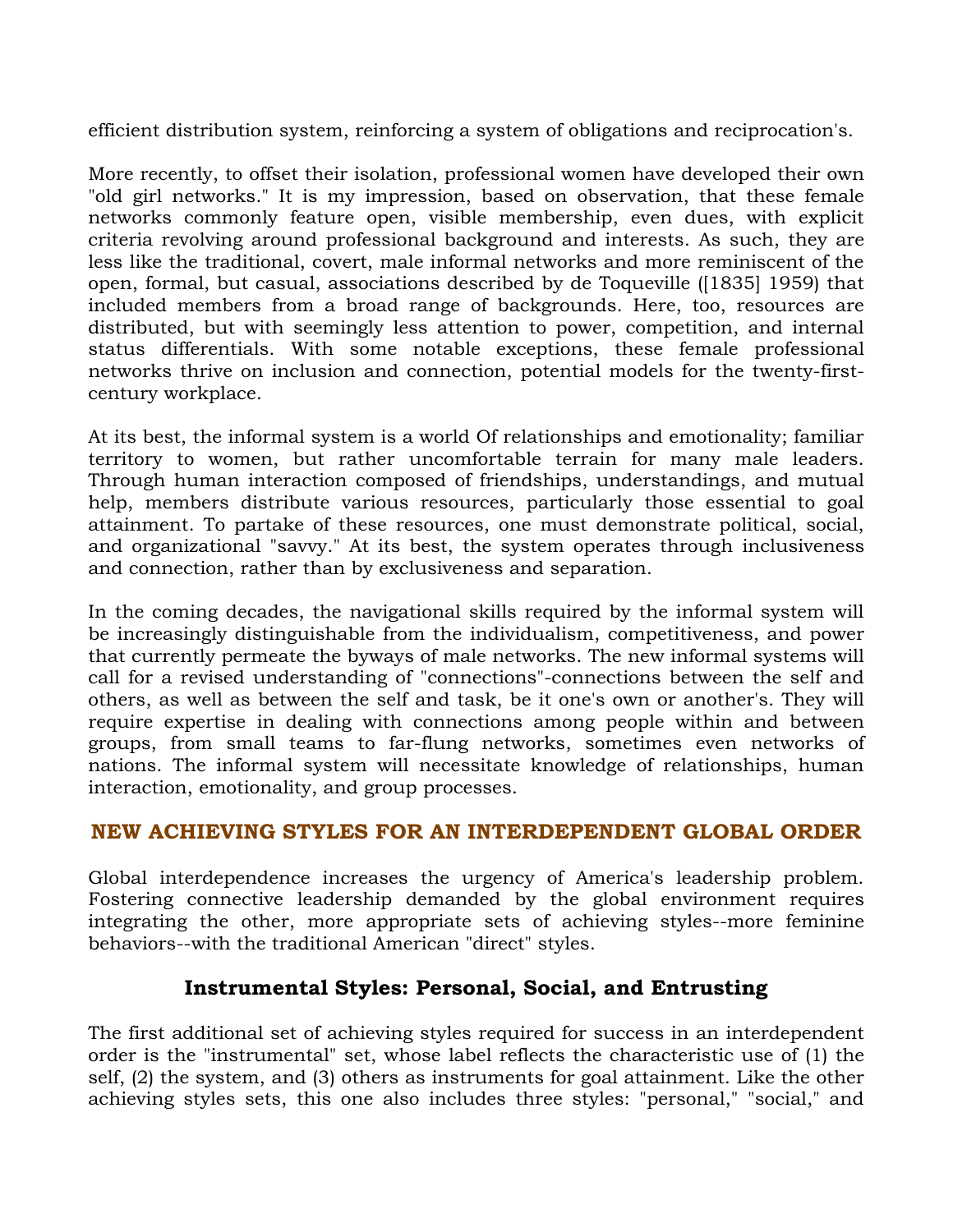efficient distribution system, reinforcing a system of obligations and reciprocation's.

More recently, to offset their isolation, professional women have developed their own "old girl networks." It is my impression, based on observation, that these female networks commonly feature open, visible membership, even dues, with explicit criteria revolving around professional background and interests. As such, they are less like the traditional, covert, male informal networks and more reminiscent of the open, formal, but casual, associations described by de Toqueville ([1835] 1959) that included members from a broad range of backgrounds. Here, too, resources are distributed, but with seemingly less attention to power, competition, and internal status differentials. With some notable exceptions, these female professional networks thrive on inclusion and connection, potential models for the twenty-firstcentury workplace.

At its best, the informal system is a world Of relationships and emotionality; familiar territory to women, but rather uncomfortable terrain for many male leaders. Through human interaction composed of friendships, understandings, and mutual help, members distribute various resources, particularly those essential to goal attainment. To partake of these resources, one must demonstrate political, social, and organizational "savvy." At its best, the system operates through inclusiveness and connection, rather than by exclusiveness and separation.

In the coming decades, the navigational skills required by the informal system will be increasingly distinguishable from the individualism, competitiveness, and power that currently permeate the byways of male networks. The new informal systems will call for a revised understanding of "connections"-connections between the self and others, as well as between the self and task, be it one's own or another's. They will require expertise in dealing with connections among people within and between groups, from small teams to far-flung networks, sometimes even networks of nations. The informal system will necessitate knowledge of relationships, human interaction, emotionality, and group processes.

## **NEW ACHIEVING STYLES FOR AN INTERDEPENDENT GLOBAL ORDER**

Global interdependence increases the urgency of America's leadership problem. Fostering connective leadership demanded by the global environment requires integrating the other, more appropriate sets of achieving styles--more feminine behaviors--with the traditional American "direct" styles.

## **Instrumental Styles: Personal, Social, and Entrusting**

The first additional set of achieving styles required for success in an interdependent order is the "instrumental" set, whose label reflects the characteristic use of (1) the self, (2) the system, and (3) others as instruments for goal attainment. Like the other achieving styles sets, this one also includes three styles: "personal," "social," and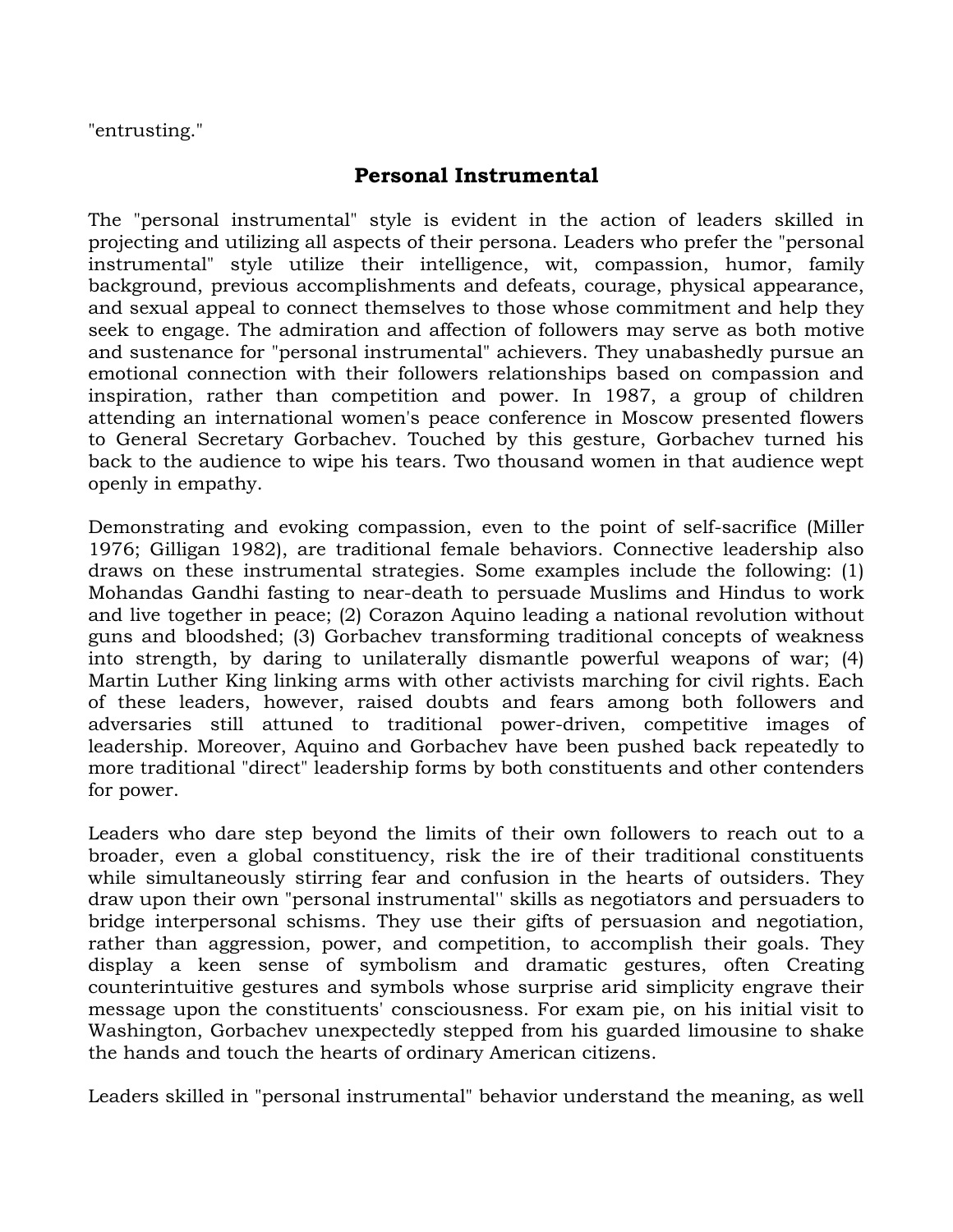"entrusting."

# **Personal Instrumental**

The "personal instrumental" style is evident in the action of leaders skilled in projecting and utilizing all aspects of their persona. Leaders who prefer the "personal instrumental" style utilize their intelligence, wit, compassion, humor, family background, previous accomplishments and defeats, courage, physical appearance, and sexual appeal to connect themselves to those whose commitment and help they seek to engage. The admiration and affection of followers may serve as both motive and sustenance for "personal instrumental" achievers. They unabashedly pursue an emotional connection with their followers relationships based on compassion and inspiration, rather than competition and power. In 1987, a group of children attending an international women's peace conference in Moscow presented flowers to General Secretary Gorbachev. Touched by this gesture, Gorbachev turned his back to the audience to wipe his tears. Two thousand women in that audience wept openly in empathy.

Demonstrating and evoking compassion, even to the point of self-sacrifice (Miller 1976; Gilligan 1982), are traditional female behaviors. Connective leadership also draws on these instrumental strategies. Some examples include the following: (1) Mohandas Gandhi fasting to near-death to persuade Muslims and Hindus to work and live together in peace; (2) Corazon Aquino leading a national revolution without guns and bloodshed; (3) Gorbachev transforming traditional concepts of weakness into strength, by daring to unilaterally dismantle powerful weapons of war; (4) Martin Luther King linking arms with other activists marching for civil rights. Each of these leaders, however, raised doubts and fears among both followers and adversaries still attuned to traditional power-driven, competitive images of leadership. Moreover, Aquino and Gorbachev have been pushed back repeatedly to more traditional "direct" leadership forms by both constituents and other contenders for power.

Leaders who dare step beyond the limits of their own followers to reach out to a broader, even a global constituency, risk the ire of their traditional constituents while simultaneously stirring fear and confusion in the hearts of outsiders. They draw upon their own "personal instrumental'' skills as negotiators and persuaders to bridge interpersonal schisms. They use their gifts of persuasion and negotiation, rather than aggression, power, and competition, to accomplish their goals. They display a keen sense of symbolism and dramatic gestures, often Creating counterintuitive gestures and symbols whose surprise arid simplicity engrave their message upon the constituents' consciousness. For exam pie, on his initial visit to Washington, Gorbachev unexpectedly stepped from his guarded limousine to shake the hands and touch the hearts of ordinary American citizens.

Leaders skilled in "personal instrumental" behavior understand the meaning, as well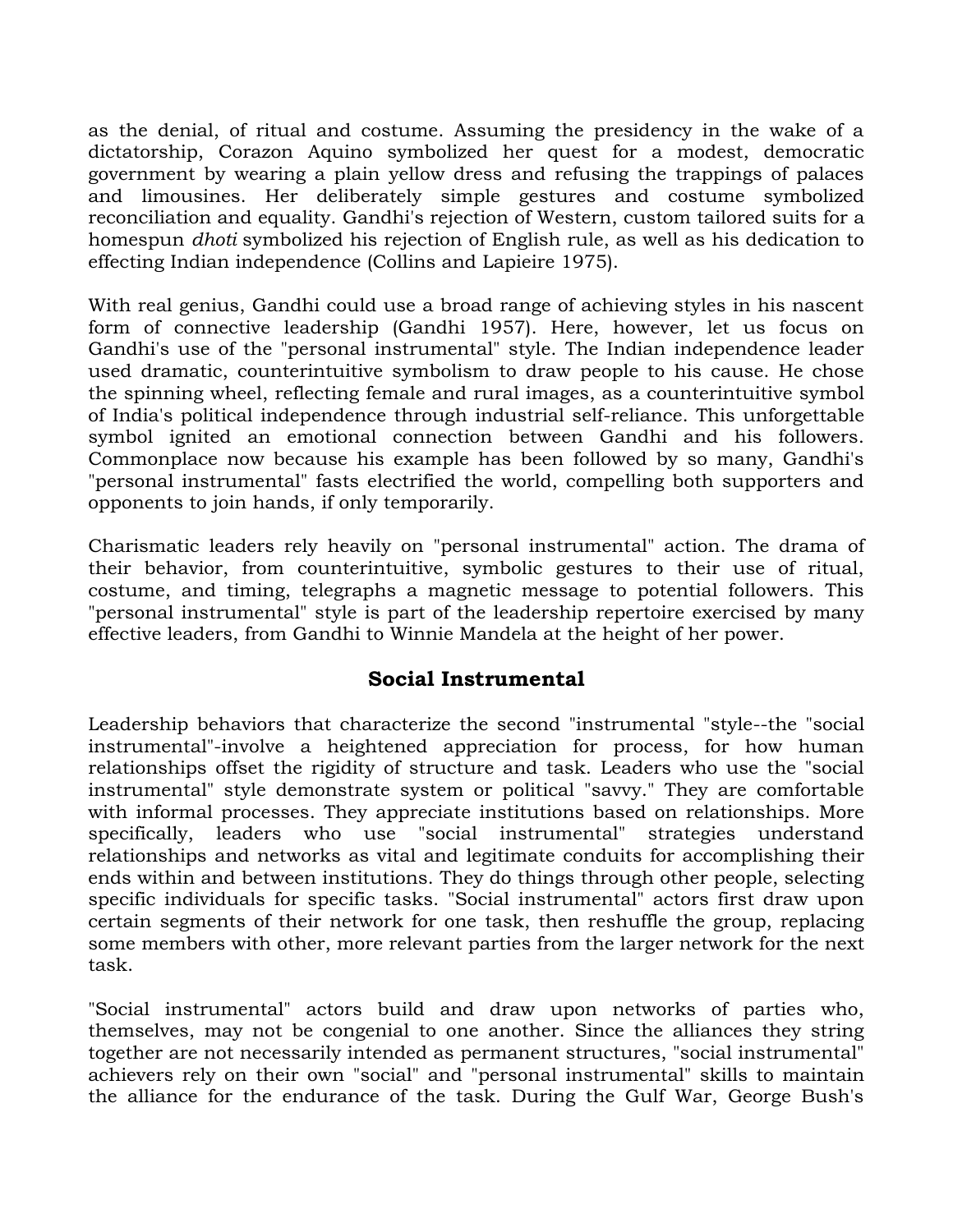as the denial, of ritual and costume. Assuming the presidency in the wake of a dictatorship, Corazon Aquino symbolized her quest for a modest, democratic government by wearing a plain yellow dress and refusing the trappings of palaces and limousines. Her deliberately simple gestures and costume symbolized reconciliation and equality. Gandhi's rejection of Western, custom tailored suits for a homespun *dhoti* symbolized his rejection of English rule, as well as his dedication to effecting Indian independence (Collins and Lapieire 1975).

With real genius, Gandhi could use a broad range of achieving styles in his nascent form of connective leadership (Gandhi 1957). Here, however, let us focus on Gandhi's use of the "personal instrumental" style. The Indian independence leader used dramatic, counterintuitive symbolism to draw people to his cause. He chose the spinning wheel, reflecting female and rural images, as a counterintuitive symbol of India's political independence through industrial self-reliance. This unforgettable symbol ignited an emotional connection between Gandhi and his followers. Commonplace now because his example has been followed by so many, Gandhi's "personal instrumental" fasts electrified the world, compelling both supporters and opponents to join hands, if only temporarily.

Charismatic leaders rely heavily on "personal instrumental" action. The drama of their behavior, from counterintuitive, symbolic gestures to their use of ritual, costume, and timing, telegraphs a magnetic message to potential followers. This "personal instrumental" style is part of the leadership repertoire exercised by many effective leaders, from Gandhi to Winnie Mandela at the height of her power.

# **Social Instrumental**

Leadership behaviors that characterize the second "instrumental "style--the "social instrumental"-involve a heightened appreciation for process, for how human relationships offset the rigidity of structure and task. Leaders who use the "social instrumental" style demonstrate system or political "savvy." They are comfortable with informal processes. They appreciate institutions based on relationships. More specifically, leaders who use "social instrumental" strategies understand relationships and networks as vital and legitimate conduits for accomplishing their ends within and between institutions. They do things through other people, selecting specific individuals for specific tasks. "Social instrumental" actors first draw upon certain segments of their network for one task, then reshuffle the group, replacing some members with other, more relevant parties from the larger network for the next task.

"Social instrumental" actors build and draw upon networks of parties who, themselves, may not be congenial to one another. Since the alliances they string together are not necessarily intended as permanent structures, "social instrumental" achievers rely on their own "social" and "personal instrumental" skills to maintain the alliance for the endurance of the task. During the Gulf War, George Bush's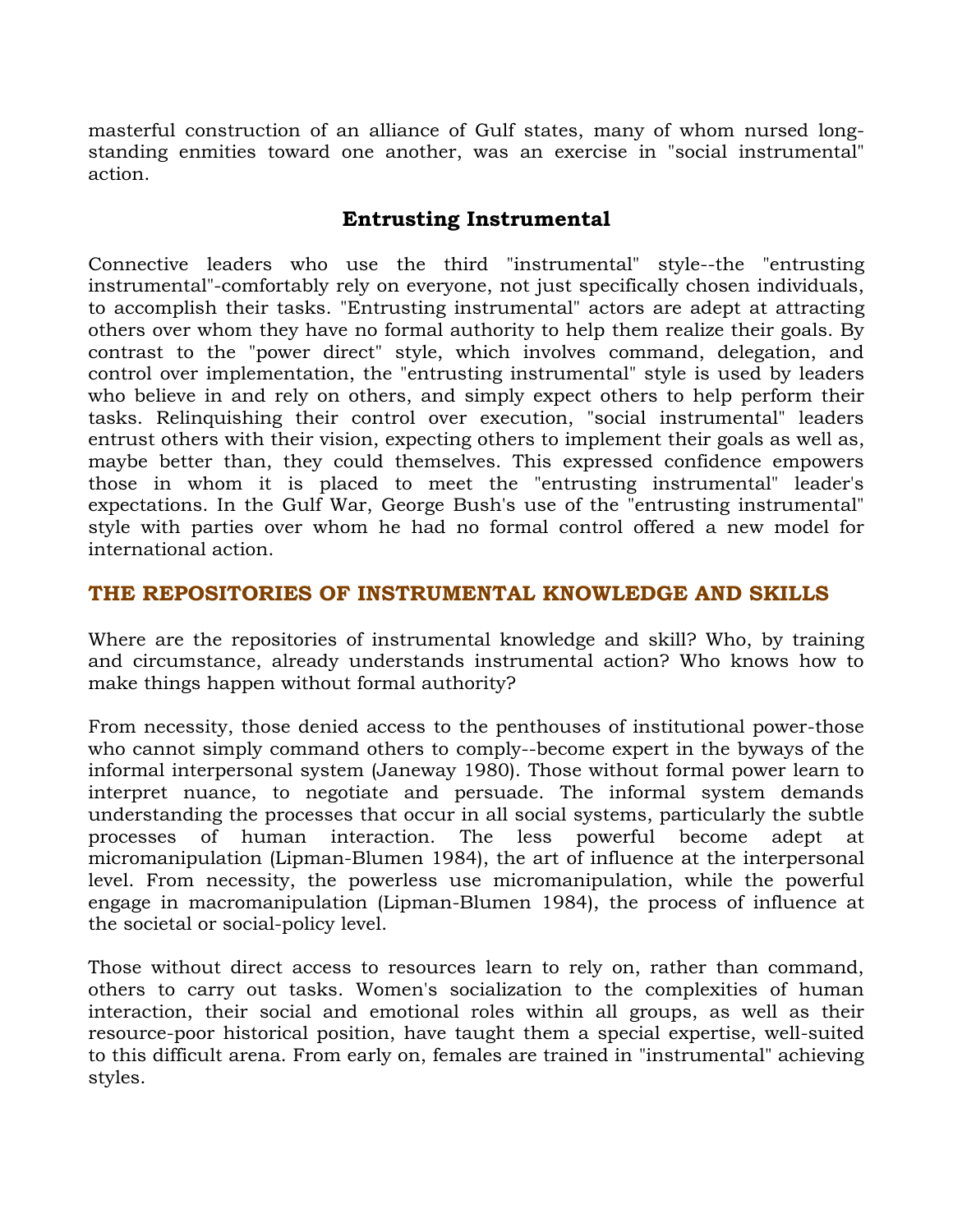masterful construction of an alliance of Gulf states, many of whom nursed longstanding enmities toward one another, was an exercise in "social instrumental" action.

# **Entrusting Instrumental**

Connective leaders who use the third "instrumental" style--the "entrusting instrumental"-comfortably rely on everyone, not just specifically chosen individuals, to accomplish their tasks. "Entrusting instrumental" actors are adept at attracting others over whom they have no formal authority to help them realize their goals. By contrast to the "power direct" style, which involves command, delegation, and control over implementation, the "entrusting instrumental" style is used by leaders who believe in and rely on others, and simply expect others to help perform their tasks. Relinquishing their control over execution, "social instrumental" leaders entrust others with their vision, expecting others to implement their goals as well as, maybe better than, they could themselves. This expressed confidence empowers those in whom it is placed to meet the "entrusting instrumental" leader's expectations. In the Gulf War, George Bush's use of the "entrusting instrumental" style with parties over whom he had no formal control offered a new model for international action.

# **THE REPOSITORIES OF INSTRUMENTAL KNOWLEDGE AND SKILLS**

Where are the repositories of instrumental knowledge and skill? Who, by training and circumstance, already understands instrumental action? Who knows how to make things happen without formal authority?

From necessity, those denied access to the penthouses of institutional power-those who cannot simply command others to comply--become expert in the byways of the informal interpersonal system (Janeway 1980). Those without formal power learn to interpret nuance, to negotiate and persuade. The informal system demands understanding the processes that occur in all social systems, particularly the subtle processes of human interaction. The less powerful become adept at micromanipulation (Lipman-Blumen 1984), the art of influence at the interpersonal level. From necessity, the powerless use micromanipulation, while the powerful engage in macromanipulation (Lipman-Blumen 1984), the process of influence at the societal or social-policy level.

Those without direct access to resources learn to rely on, rather than command, others to carry out tasks. Women's socialization to the complexities of human interaction, their social and emotional roles within all groups, as well as their resource-poor historical position, have taught them a special expertise, well-suited to this difficult arena. From early on, females are trained in "instrumental" achieving styles.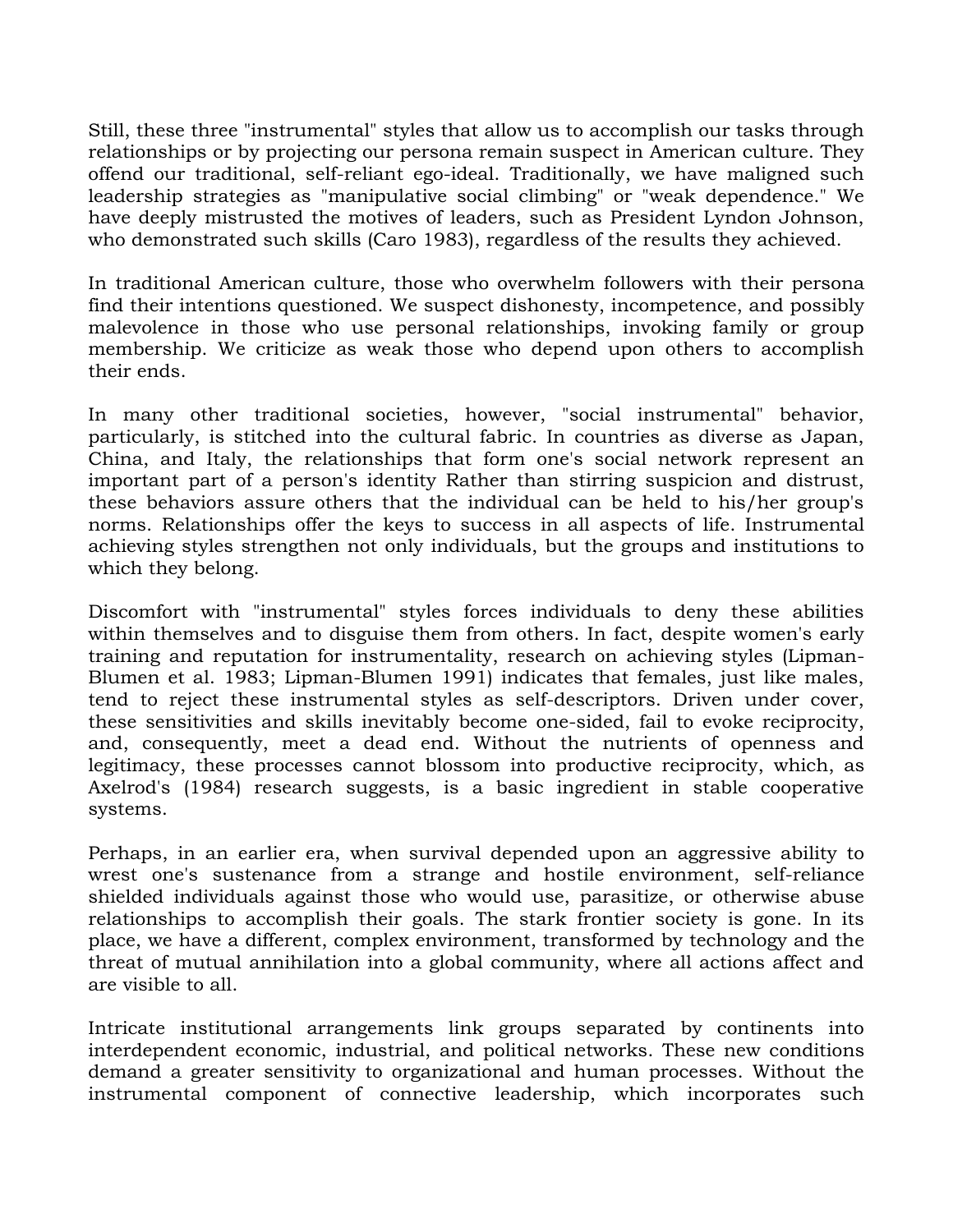Still, these three "instrumental" styles that allow us to accomplish our tasks through relationships or by projecting our persona remain suspect in American culture. They offend our traditional, self-reliant ego-ideal. Traditionally, we have maligned such leadership strategies as "manipulative social climbing" or "weak dependence." We have deeply mistrusted the motives of leaders, such as President Lyndon Johnson, who demonstrated such skills (Caro 1983), regardless of the results they achieved.

In traditional American culture, those who overwhelm followers with their persona find their intentions questioned. We suspect dishonesty, incompetence, and possibly malevolence in those who use personal relationships, invoking family or group membership. We criticize as weak those who depend upon others to accomplish their ends.

In many other traditional societies, however, "social instrumental" behavior, particularly, is stitched into the cultural fabric. In countries as diverse as Japan, China, and Italy, the relationships that form one's social network represent an important part of a person's identity Rather than stirring suspicion and distrust, these behaviors assure others that the individual can be held to his/her group's norms. Relationships offer the keys to success in all aspects of life. Instrumental achieving styles strengthen not only individuals, but the groups and institutions to which they belong.

Discomfort with "instrumental" styles forces individuals to deny these abilities within themselves and to disguise them from others. In fact, despite women's early training and reputation for instrumentality, research on achieving styles (Lipman-Blumen et al. 1983; Lipman-Blumen 1991) indicates that females, just like males, tend to reject these instrumental styles as self-descriptors. Driven under cover, these sensitivities and skills inevitably become one-sided, fail to evoke reciprocity, and, consequently, meet a dead end. Without the nutrients of openness and legitimacy, these processes cannot blossom into productive reciprocity, which, as Axelrod's (1984) research suggests, is a basic ingredient in stable cooperative systems.

Perhaps, in an earlier era, when survival depended upon an aggressive ability to wrest one's sustenance from a strange and hostile environment, self-reliance shielded individuals against those who would use, parasitize, or otherwise abuse relationships to accomplish their goals. The stark frontier society is gone. In its place, we have a different, complex environment, transformed by technology and the threat of mutual annihilation into a global community, where all actions affect and are visible to all.

Intricate institutional arrangements link groups separated by continents into interdependent economic, industrial, and political networks. These new conditions demand a greater sensitivity to organizational and human processes. Without the instrumental component of connective leadership, which incorporates such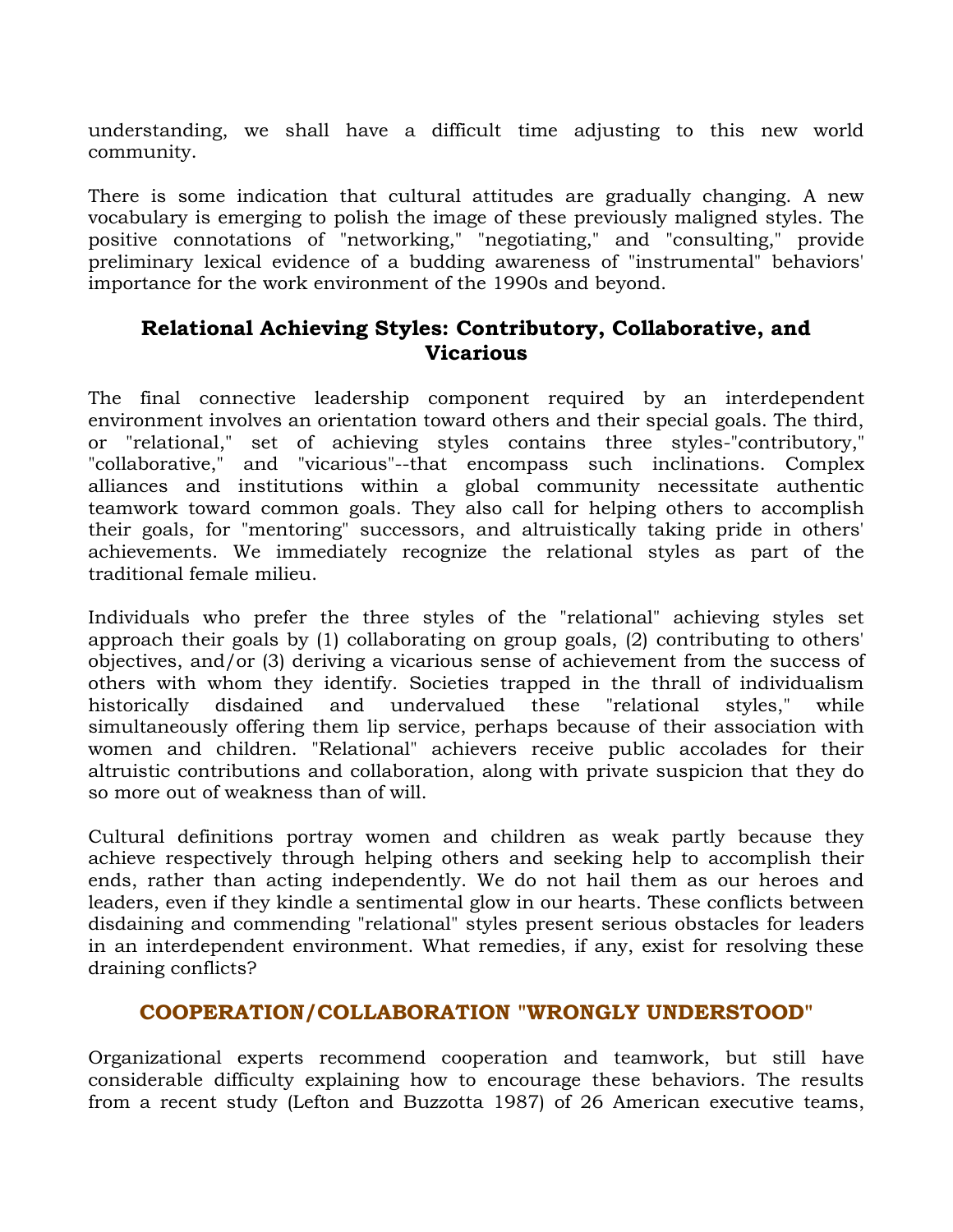understanding, we shall have a difficult time adjusting to this new world community.

There is some indication that cultural attitudes are gradually changing. A new vocabulary is emerging to polish the image of these previously maligned styles. The positive connotations of "networking," "negotiating," and "consulting," provide preliminary lexical evidence of a budding awareness of "instrumental" behaviors' importance for the work environment of the 1990s and beyond.

# **Relational Achieving Styles: Contributory, Collaborative, and Vicarious**

The final connective leadership component required by an interdependent environment involves an orientation toward others and their special goals. The third, or "relational," set of achieving styles contains three styles-"contributory," "collaborative," and "vicarious"--that encompass such inclinations. Complex alliances and institutions within a global community necessitate authentic teamwork toward common goals. They also call for helping others to accomplish their goals, for "mentoring" successors, and altruistically taking pride in others' achievements. We immediately recognize the relational styles as part of the traditional female milieu.

Individuals who prefer the three styles of the "relational" achieving styles set approach their goals by (1) collaborating on group goals, (2) contributing to others' objectives, and/or (3) deriving a vicarious sense of achievement from the success of others with whom they identify. Societies trapped in the thrall of individualism historically disdained and undervalued these "relational styles," while simultaneously offering them lip service, perhaps because of their association with women and children. "Relational" achievers receive public accolades for their altruistic contributions and collaboration, along with private suspicion that they do so more out of weakness than of will.

Cultural definitions portray women and children as weak partly because they achieve respectively through helping others and seeking help to accomplish their ends, rather than acting independently. We do not hail them as our heroes and leaders, even if they kindle a sentimental glow in our hearts. These conflicts between disdaining and commending "relational" styles present serious obstacles for leaders in an interdependent environment. What remedies, if any, exist for resolving these draining conflicts?

## **COOPERATION/COLLABORATION "WRONGLY UNDERSTOOD"**

Organizational experts recommend cooperation and teamwork, but still have considerable difficulty explaining how to encourage these behaviors. The results from a recent study (Lefton and Buzzotta 1987) of 26 American executive teams,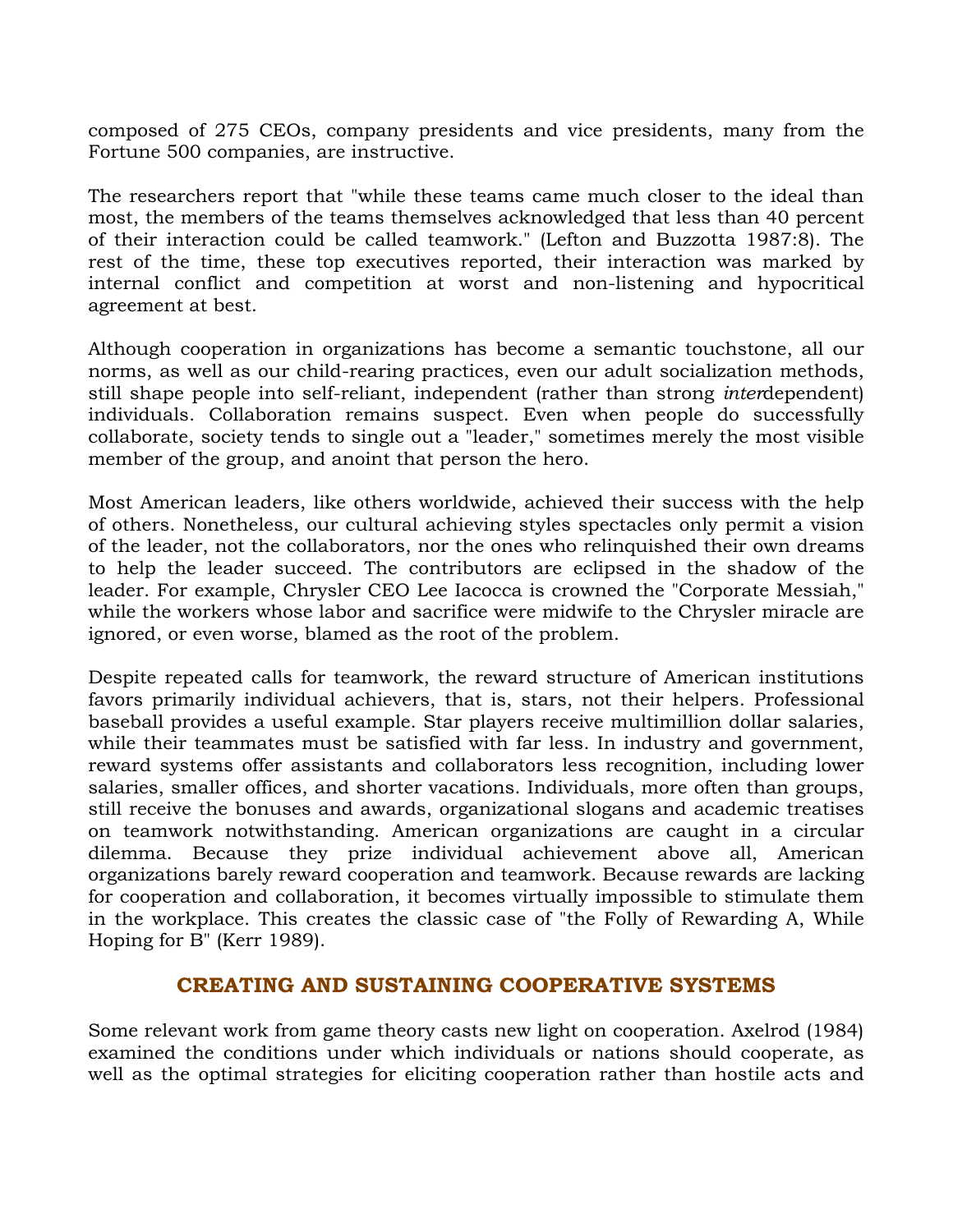composed of 275 CEOs, company presidents and vice presidents, many from the Fortune 500 companies, are instructive.

The researchers report that "while these teams came much closer to the ideal than most, the members of the teams themselves acknowledged that less than 40 percent of their interaction could be called teamwork." (Lefton and Buzzotta 1987:8). The rest of the time, these top executives reported, their interaction was marked by internal conflict and competition at worst and non-listening and hypocritical agreement at best.

Although cooperation in organizations has become a semantic touchstone, all our norms, as well as our child-rearing practices, even our adult socialization methods, still shape people into self-reliant, independent (rather than strong *inter*dependent) individuals. Collaboration remains suspect. Even when people do successfully collaborate, society tends to single out a "leader," sometimes merely the most visible member of the group, and anoint that person the hero.

Most American leaders, like others worldwide, achieved their success with the help of others. Nonetheless, our cultural achieving styles spectacles only permit a vision of the leader, not the collaborators, nor the ones who relinquished their own dreams to help the leader succeed. The contributors are eclipsed in the shadow of the leader. For example, Chrysler CEO Lee Iacocca is crowned the "Corporate Messiah," while the workers whose labor and sacrifice were midwife to the Chrysler miracle are ignored, or even worse, blamed as the root of the problem.

Despite repeated calls for teamwork, the reward structure of American institutions favors primarily individual achievers, that is, stars, not their helpers. Professional baseball provides a useful example. Star players receive multimillion dollar salaries, while their teammates must be satisfied with far less. In industry and government, reward systems offer assistants and collaborators less recognition, including lower salaries, smaller offices, and shorter vacations. Individuals, more often than groups, still receive the bonuses and awards, organizational slogans and academic treatises on teamwork notwithstanding. American organizations are caught in a circular dilemma. Because they prize individual achievement above all, American organizations barely reward cooperation and teamwork. Because rewards are lacking for cooperation and collaboration, it becomes virtually impossible to stimulate them in the workplace. This creates the classic case of "the Folly of Rewarding A, While Hoping for B" (Kerr 1989).

## **CREATING AND SUSTAINING COOPERATIVE SYSTEMS**

Some relevant work from game theory casts new light on cooperation. Axelrod (1984) examined the conditions under which individuals or nations should cooperate, as well as the optimal strategies for eliciting cooperation rather than hostile acts and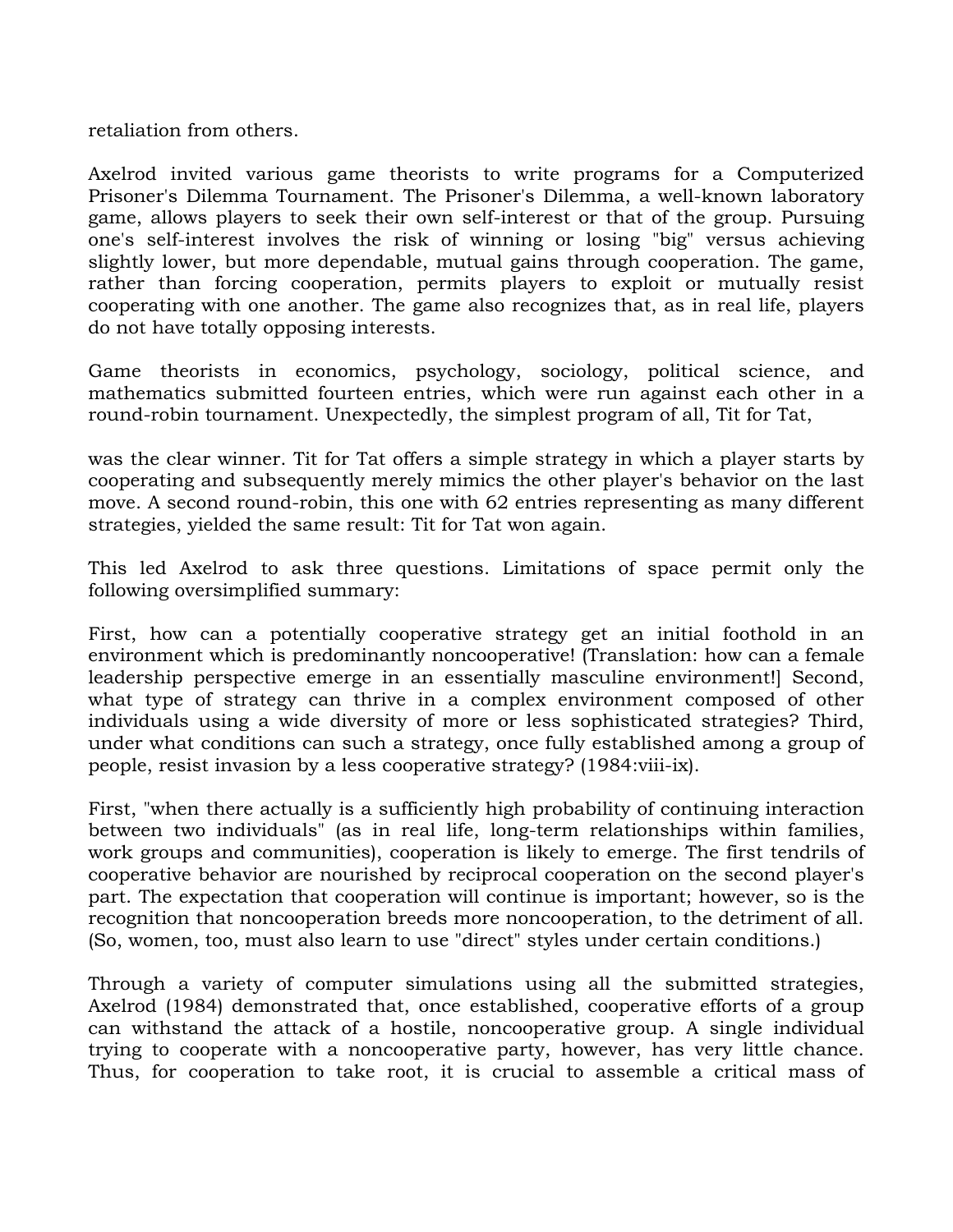retaliation from others.

Axelrod invited various game theorists to write programs for a Computerized Prisoner's Dilemma Tournament. The Prisoner's Dilemma, a well-known laboratory game, allows players to seek their own self-interest or that of the group. Pursuing one's self-interest involves the risk of winning or losing "big" versus achieving slightly lower, but more dependable, mutual gains through cooperation. The game, rather than forcing cooperation, permits players to exploit or mutually resist cooperating with one another. The game also recognizes that, as in real life, players do not have totally opposing interests.

Game theorists in economics, psychology, sociology, political science, and mathematics submitted fourteen entries, which were run against each other in a round-robin tournament. Unexpectedly, the simplest program of all, Tit for Tat,

was the clear winner. Tit for Tat offers a simple strategy in which a player starts by cooperating and subsequently merely mimics the other player's behavior on the last move. A second round-robin, this one with 62 entries representing as many different strategies, yielded the same result: Tit for Tat won again.

This led Axelrod to ask three questions. Limitations of space permit only the following oversimplified summary:

First, how can a potentially cooperative strategy get an initial foothold in an environment which is predominantly noncooperative! (Translation: how can a female leadership perspective emerge in an essentially masculine environment!] Second, what type of strategy can thrive in a complex environment composed of other individuals using a wide diversity of more or less sophisticated strategies? Third, under what conditions can such a strategy, once fully established among a group of people, resist invasion by a less cooperative strategy? (1984:viii-ix).

First, "when there actually is a sufficiently high probability of continuing interaction between two individuals" (as in real life, long-term relationships within families, work groups and communities), cooperation is likely to emerge. The first tendrils of cooperative behavior are nourished by reciprocal cooperation on the second player's part. The expectation that cooperation will continue is important; however, so is the recognition that noncooperation breeds more noncooperation, to the detriment of all. (So, women, too, must also learn to use "direct" styles under certain conditions.)

Through a variety of computer simulations using all the submitted strategies, Axelrod (1984) demonstrated that, once established, cooperative efforts of a group can withstand the attack of a hostile, noncooperative group. A single individual trying to cooperate with a noncooperative party, however, has very little chance. Thus, for cooperation to take root, it is crucial to assemble a critical mass of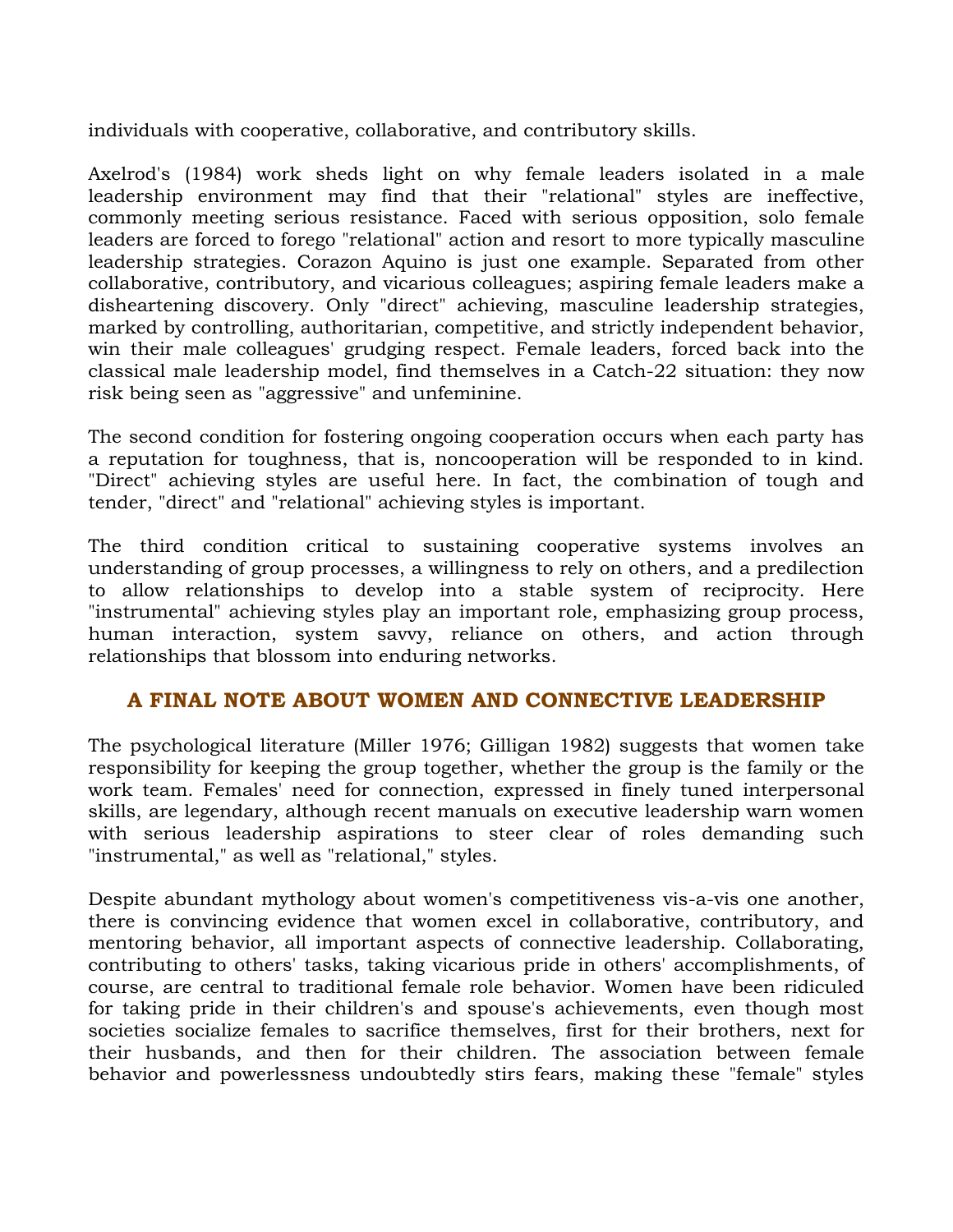individuals with cooperative, collaborative, and contributory skills.

Axelrod's (1984) work sheds light on why female leaders isolated in a male leadership environment may find that their "relational" styles are ineffective, commonly meeting serious resistance. Faced with serious opposition, solo female leaders are forced to forego "relational" action and resort to more typically masculine leadership strategies. Corazon Aquino is just one example. Separated from other collaborative, contributory, and vicarious colleagues; aspiring female leaders make a disheartening discovery. Only "direct" achieving, masculine leadership strategies, marked by controlling, authoritarian, competitive, and strictly independent behavior, win their male colleagues' grudging respect. Female leaders, forced back into the classical male leadership model, find themselves in a Catch-22 situation: they now risk being seen as "aggressive" and unfeminine.

The second condition for fostering ongoing cooperation occurs when each party has a reputation for toughness, that is, noncooperation will be responded to in kind. "Direct" achieving styles are useful here. In fact, the combination of tough and tender, "direct" and "relational" achieving styles is important.

The third condition critical to sustaining cooperative systems involves an understanding of group processes, a willingness to rely on others, and a predilection to allow relationships to develop into a stable system of reciprocity. Here "instrumental" achieving styles play an important role, emphasizing group process, human interaction, system savvy, reliance on others, and action through relationships that blossom into enduring networks.

## **A FINAL NOTE ABOUT WOMEN AND CONNECTIVE LEADERSHIP**

The psychological literature (Miller 1976; Gilligan 1982) suggests that women take responsibility for keeping the group together, whether the group is the family or the work team. Females' need for connection, expressed in finely tuned interpersonal skills, are legendary, although recent manuals on executive leadership warn women with serious leadership aspirations to steer clear of roles demanding such "instrumental," as well as "relational," styles.

Despite abundant mythology about women's competitiveness vis-a-vis one another, there is convincing evidence that women excel in collaborative, contributory, and mentoring behavior, all important aspects of connective leadership. Collaborating, contributing to others' tasks, taking vicarious pride in others' accomplishments, of course, are central to traditional female role behavior. Women have been ridiculed for taking pride in their children's and spouse's achievements, even though most societies socialize females to sacrifice themselves, first for their brothers, next for their husbands, and then for their children. The association between female behavior and powerlessness undoubtedly stirs fears, making these "female" styles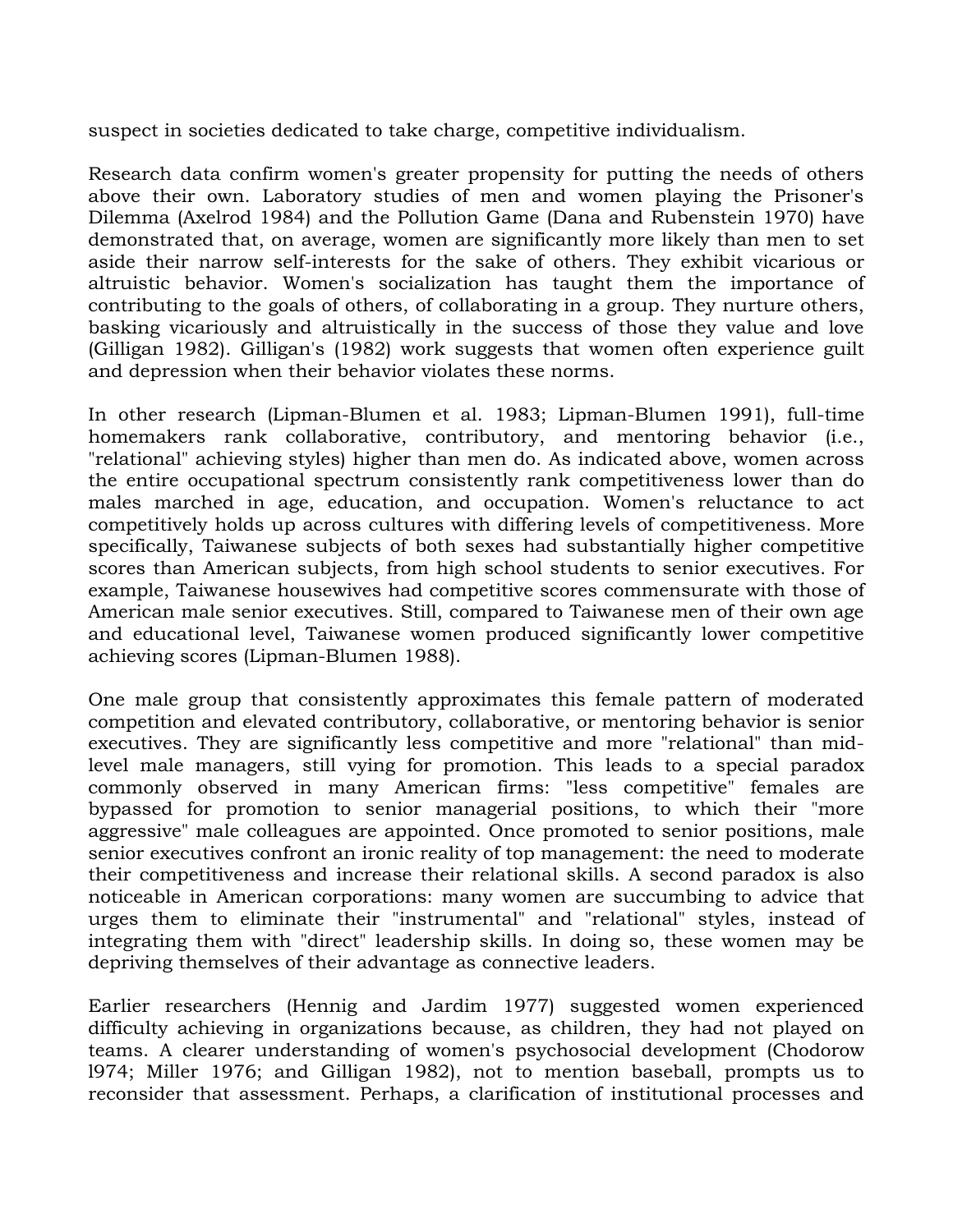suspect in societies dedicated to take charge, competitive individualism.

Research data confirm women's greater propensity for putting the needs of others above their own. Laboratory studies of men and women playing the Prisoner's Dilemma (Axelrod 1984) and the Pollution Game (Dana and Rubenstein 1970) have demonstrated that, on average, women are significantly more likely than men to set aside their narrow self-interests for the sake of others. They exhibit vicarious or altruistic behavior. Women's socialization has taught them the importance of contributing to the goals of others, of collaborating in a group. They nurture others, basking vicariously and altruistically in the success of those they value and love (Gilligan 1982). Gilligan's (1982) work suggests that women often experience guilt and depression when their behavior violates these norms.

In other research (Lipman-Blumen et al. 1983; Lipman-Blumen 1991), full-time homemakers rank collaborative, contributory, and mentoring behavior (i.e., "relational" achieving styles) higher than men do. As indicated above, women across the entire occupational spectrum consistently rank competitiveness lower than do males marched in age, education, and occupation. Women's reluctance to act competitively holds up across cultures with differing levels of competitiveness. More specifically, Taiwanese subjects of both sexes had substantially higher competitive scores than American subjects, from high school students to senior executives. For example, Taiwanese housewives had competitive scores commensurate with those of American male senior executives. Still, compared to Taiwanese men of their own age and educational level, Taiwanese women produced significantly lower competitive achieving scores (Lipman-Blumen 1988).

One male group that consistently approximates this female pattern of moderated competition and elevated contributory, collaborative, or mentoring behavior is senior executives. They are significantly less competitive and more "relational" than midlevel male managers, still vying for promotion. This leads to a special paradox commonly observed in many American firms: "less competitive" females are bypassed for promotion to senior managerial positions, to which their "more aggressive" male colleagues are appointed. Once promoted to senior positions, male senior executives confront an ironic reality of top management: the need to moderate their competitiveness and increase their relational skills. A second paradox is also noticeable in American corporations: many women are succumbing to advice that urges them to eliminate their "instrumental" and "relational" styles, instead of integrating them with "direct" leadership skills. In doing so, these women may be depriving themselves of their advantage as connective leaders.

Earlier researchers (Hennig and Jardim 1977) suggested women experienced difficulty achieving in organizations because, as children, they had not played on teams. A clearer understanding of women's psychosocial development (Chodorow l974; Miller 1976; and Gilligan 1982), not to mention baseball, prompts us to reconsider that assessment. Perhaps, a clarification of institutional processes and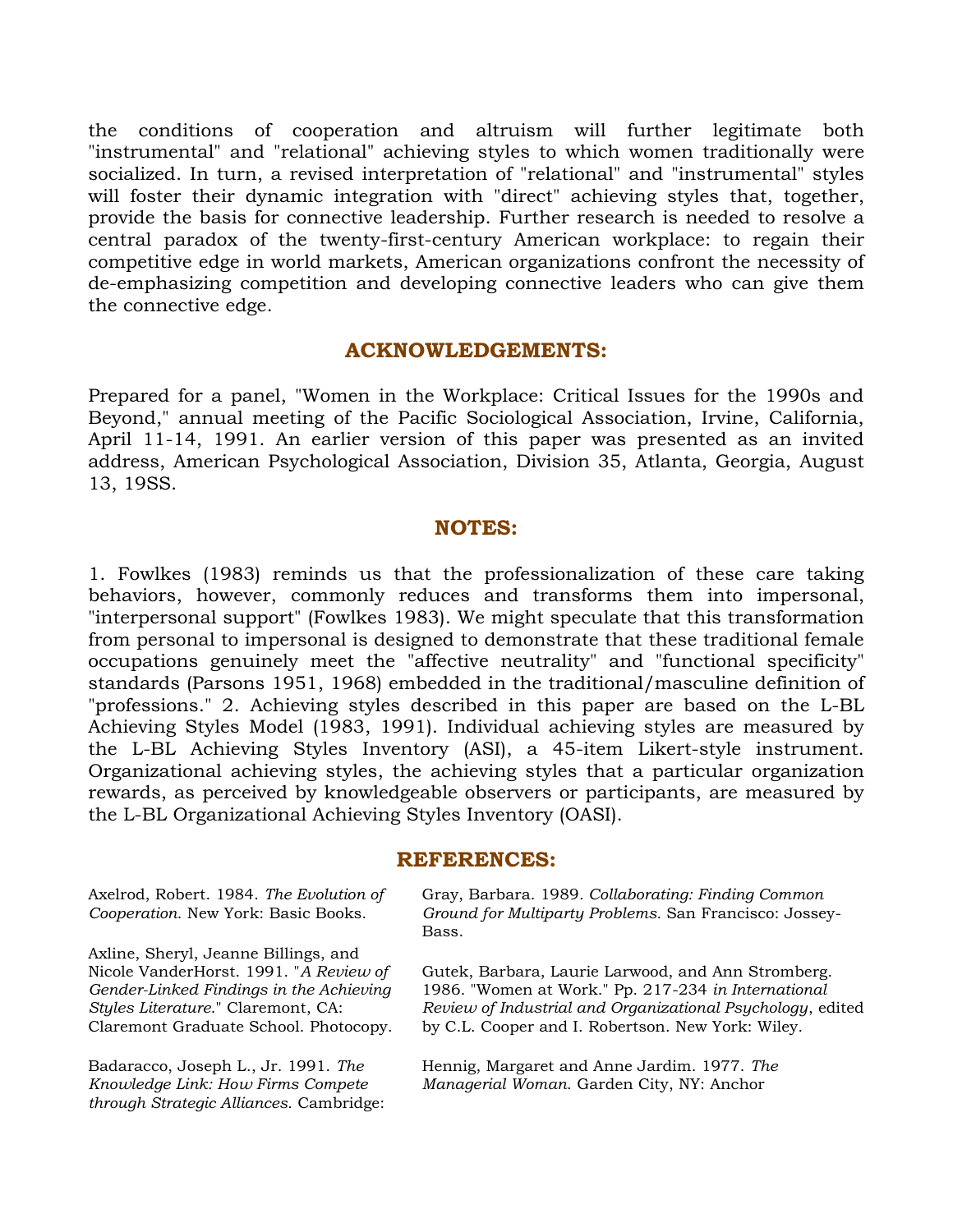the conditions of cooperation and altruism will further legitimate both "instrumental" and "relational" achieving styles to which women traditionally were socialized. In turn, a revised interpretation of "relational" and "instrumental" styles will foster their dynamic integration with "direct" achieving styles that, together, provide the basis for connective leadership. Further research is needed to resolve a central paradox of the twenty-first-century American workplace: to regain their competitive edge in world markets, American organizations confront the necessity of de-emphasizing competition and developing connective leaders who can give them the connective edge.

#### **ACKNOWLEDGEMENTS:**

Prepared for a panel, "Women in the Workplace: Critical Issues for the 1990s and Beyond," annual meeting of the Pacific Sociological Association, Irvine, California, April 11-14, 1991. An earlier version of this paper was presented as an invited address, American Psychological Association, Division 35, Atlanta, Georgia, August 13, 19SS.

#### **NOTES:**

1. Fowlkes (1983) reminds us that the professionalization of these care taking behaviors, however, commonly reduces and transforms them into impersonal, "interpersonal support" (Fowlkes 1983). We might speculate that this transformation from personal to impersonal is designed to demonstrate that these traditional female occupations genuinely meet the "affective neutrality" and "functional specificity" standards (Parsons 1951, 1968) embedded in the traditional/masculine definition of "professions." 2. Achieving styles described in this paper are based on the L-BL Achieving Styles Model (1983, 1991). Individual achieving styles are measured by the L-BL Achieving Styles Inventory (ASI), a 45-item Likert-style instrument. Organizational achieving styles, the achieving styles that a particular organization rewards, as perceived by knowledgeable observers or participants, are measured by the L-BL Organizational Achieving Styles Inventory (OASI).

#### **REFERENCES:**

Axelrod, Robert. 1984. *The Evolution of Cooperation*. New York: Basic Books.

Axline, Sheryl, Jeanne Billings, and Nicole VanderHorst. 1991. "*A Review of Gender-Linked Findings in the Achieving Styles Literature*." Claremont, CA: Claremont Graduate School. Photocopy.

Badaracco, Joseph L., Jr. 1991. *The Knowledge Link: How Firms Compete through Strategic Alliances.* Cambridge: Gray, Barbara. 1989*. Collaborating: Finding Common Ground for Multiparty Problems.* San Francisco: Jossey-Bass.

Gutek, Barbara, Laurie Larwood, and Ann Stromberg. 1986. "Women at Work." Pp. 217-234 *in International Review of Industrial and Organizational Psychology*, edited by C.L. Cooper and I. Robertson. New York: Wiley.

Hennig, Margaret and Anne Jardim. 1977. *The Managerial Woman*. Garden City, NY: Anchor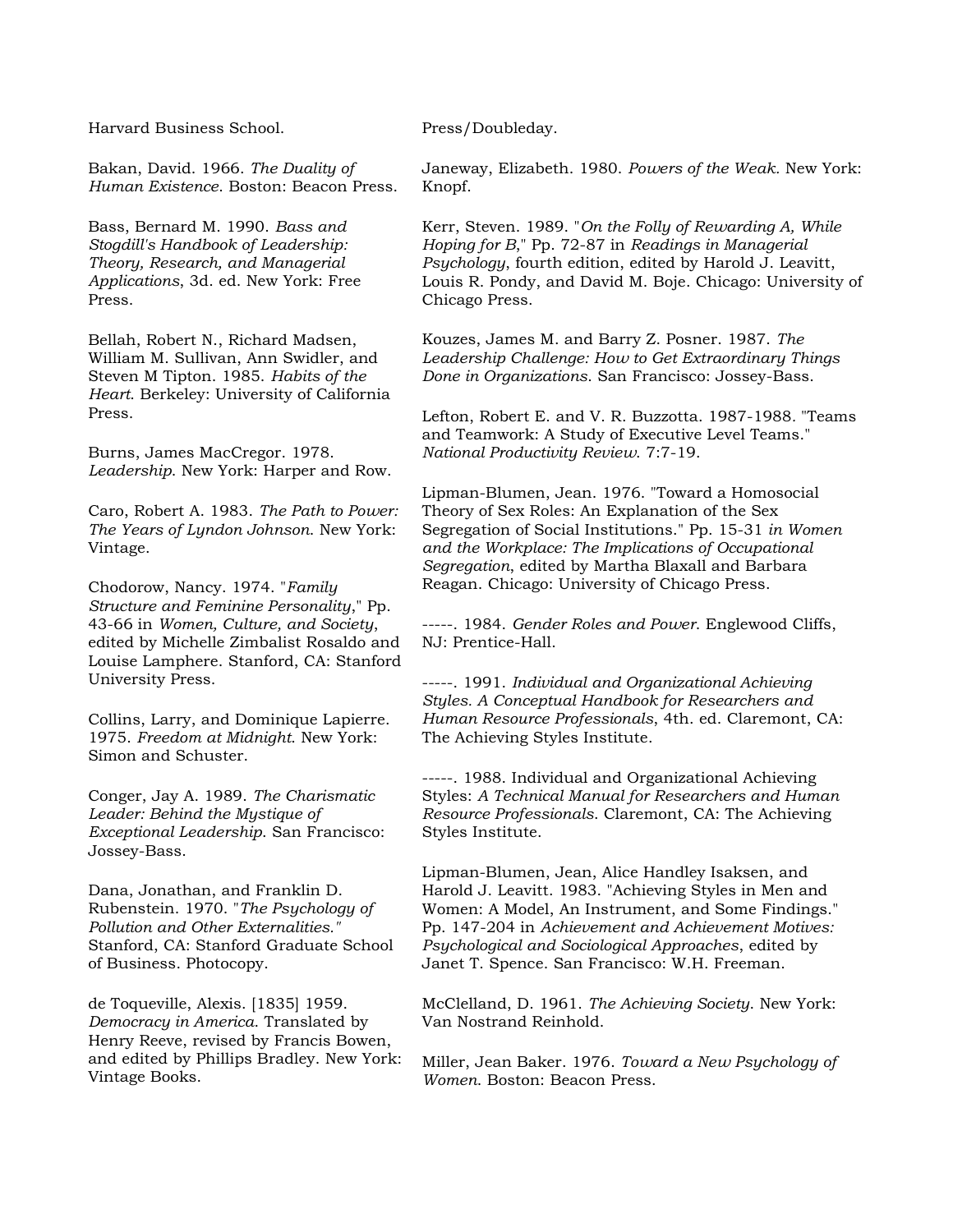Harvard Business School.

Bakan, David. 1966. *The Duality of Human Existence*. Boston: Beacon Press.

Bass, Bernard M. 1990. *Bass and Stogdill's Handbook of Leadership: Theory, Research, and Managerial Applications*, 3d. ed. New York: Free Press.

Bellah, Robert N., Richard Madsen, William M. Sullivan, Ann Swidler, and Steven M Tipton. 1985. *Habits of the Heart*. Berkeley: University of California Press.

Burns, James MacCregor. 1978. *Leadership*. New York: Harper and Row.

Caro, Robert A. 1983. *The Path to Power: The Years of Lyndon Johnson*. New York: Vintage.

Chodorow, Nancy. 1974. "*Family Structure and Feminine Personality*," Pp. 43-66 in *Women, Culture, and Society*, edited by Michelle Zimbalist Rosaldo and Louise Lamphere. Stanford, CA: Stanford University Press.

Collins, Larry, and Dominique Lapierre. 1975. *Freedom at Midnight*. New York: Simon and Schuster.

Conger, Jay A. 1989. *The Charismatic Leader: Behind the Mystique of Exceptional Leadership*. San Francisco: Jossey-Bass.

Dana, Jonathan, and Franklin D. Rubenstein. 1970. "*The Psychology of Pollution and Other Externalities."*  Stanford, CA: Stanford Graduate School of Business. Photocopy.

de Toqueville, Alexis. [1835] 1959. *Democracy in America*. Translated by Henry Reeve, revised by Francis Bowen, and edited by Phillips Bradley. New York: Vintage Books.

Press/Doubleday.

Janeway, Elizabeth. 1980. *Powers of the Weak.* New York: Knopf.

Kerr, Steven. 1989. "*On the Folly of Rewarding A, While Hoping for B*," Pp. 72-87 in *Readings in Managerial Psychology*, fourth edition, edited by Harold J. Leavitt, Louis R. Pondy, and David M. Boje. Chicago: University of Chicago Press.

Kouzes, James M. and Barry Z. Posner. 1987. *The Leadership Challenge: How to Get Extraordinary Things Done in Organizations*. San Francisco: Jossey-Bass.

Lefton, Robert E. and V. R. Buzzotta. 1987-1988*.* "Teams and Teamwork: A Study of Executive Level Teams." *National Productivity Review*. 7:7-19.

Lipman-Blumen, Jean. 1976. "Toward a Homosocial Theory of Sex Roles: An Explanation of the Sex Segregation of Social Institutions." Pp. 15-31 *in Women and the Workplace: The Implications of Occupational Segregation*, edited by Martha Blaxall and Barbara Reagan. Chicago: University of Chicago Press.

-----. 1984. *Gender Roles and Power*. Englewood Cliffs, NJ: Prentice-Hall.

-----. 1991. *Individual and Organizational Achieving Styles. A Conceptual Handbook for Researchers and Human Resource Professionals*, 4th. ed. Claremont, CA: The Achieving Styles Institute.

-----. 1988. Individual and Organizational Achieving Styles: *A Technical Manual for Researchers and Human Resource Professionals*. Claremont, CA: The Achieving Styles Institute.

Lipman-Blumen, Jean, Alice Handley Isaksen, and Harold J. Leavitt. 1983. "Achieving Styles in Men and Women: A Model, An Instrument, and Some Findings." Pp. 147-204 in *Achievement and Achievement Motives: Psychological and Sociological Approaches*, edited by Janet T. Spence. San Francisco: W.H. Freeman.

McClelland, D. 1961. *The Achieving Society*. New York: Van Nostrand Reinhold.

Miller, Jean Baker. 1976. *Toward a New Psychology of Women*. Boston: Beacon Press.